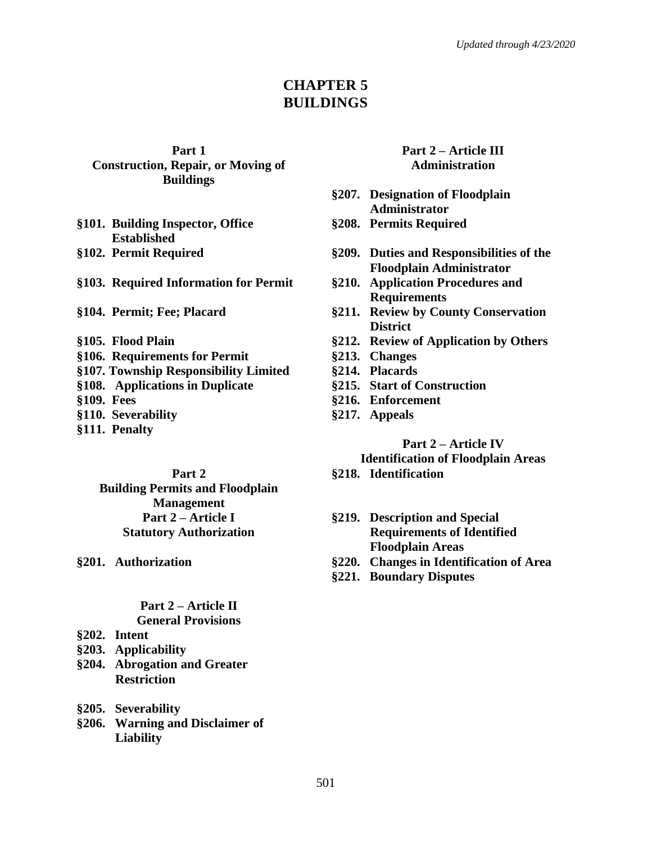# **CHAPTER 5 BUILDINGS**

**Part 1 Construction, Repair, or Moving of Buildings**

- **§101. Building Inspector, Office Established**
- 

**§103. Required Information for Permit §210. Application Procedures and**

- 
- 
- **§106. Requirements for Permit §213. Changes**
- **§107. Township Responsibility Limited §214. Placards**
- **§108. Applications in Duplicate §215. Start of Construction**
- 
- **§110. Severability §217. Appeals**
- **§111. Penalty**

**Part 2 Building Permits and Floodplain Management Part 2 – Article I Statutory Authorization**

# **Part 2 – Article II**

- **General Provisions**
- **§202. Intent**
- **§203. Applicability**
- **§204. Abrogation and Greater Restriction**
- **§205. Severability**
- **§206. Warning and Disclaimer of Liability**

#### **Part 2 – Article III Administration**

- **§207. Designation of Floodplain Administrator**
- **§208. Permits Required**
- **§102. Permit Required §209. Duties and Responsibilities of the Floodplain Administrator**
	- **Requirements**
- **§104. Permit; Fee; Placard §211. Review by County Conservation District**
- **§105. Flood Plain §212. Review of Application by Others**
	-
	-
	-
- **§109. Fees §216. Enforcement**
	-

**Part 2 – Article IV Identification of Floodplain Areas**

- **§218. Identification**
- **§219. Description and Special Requirements of Identified Floodplain Areas**
- **§201. Authorization §220. Changes in Identification of Area**
	- **§221. Boundary Disputes**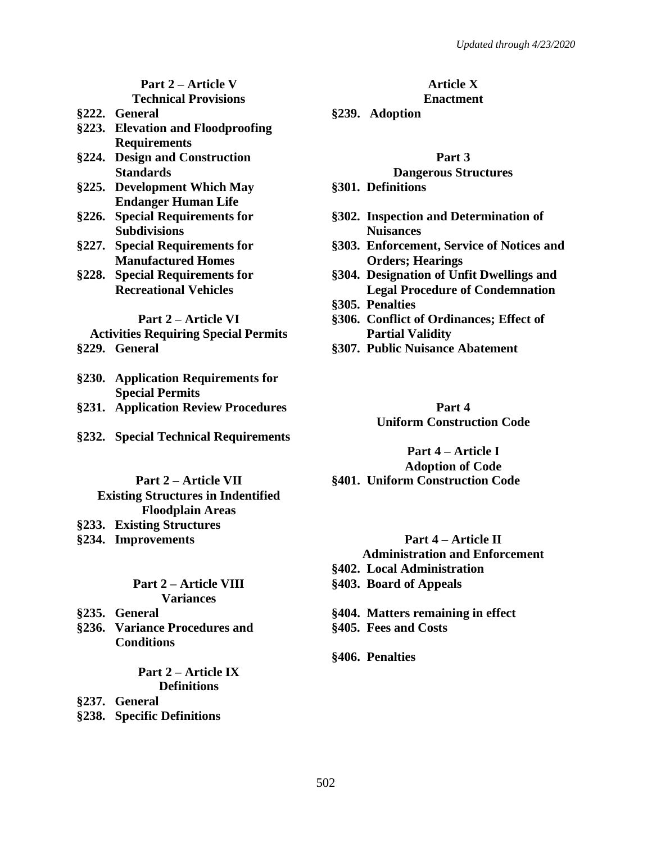#### **Part 2 – Article V Technical Provisions**

- 
- **§223. Elevation and Floodproofing Requirements**
- **§224. Design and Construction Standards**
- **§225. Development Which May Endanger Human Life**
- **§226. Special Requirements for Subdivisions**
- **§227. Special Requirements for Manufactured Homes**
- **§228. Special Requirements for Recreational Vehicles**

#### **Part 2 – Article VI**

# **Activities Requiring Special Permits**

- 
- **§230. Application Requirements for Special Permits**
- **§231. Application Review Procedures Part 4**
- **§232. Special Technical Requirements**

#### **Part 2 – Article VII Existing Structures in Indentified Floodplain Areas §233. Existing Structures §234. Improvements Part 4 – Article II**

#### **Part 2 – Article VIII Variances**

- 
- **§236. Variance Procedures and Conditions**

#### **Part 2 – Article IX Definitions**

**§237. General**

**§238. Specific Definitions**

# **Article X**

#### **Enactment**

**§222. General §239. Adoption**

#### **Part 3**

#### **Dangerous Structures**

- **§301. Definitions**
- **§302. Inspection and Determination of Nuisances**
- **§303. Enforcement, Service of Notices and Orders; Hearings**
- **§304. Designation of Unfit Dwellings and Legal Procedure of Condemnation**
- **§305. Penalties**
- **§306. Conflict of Ordinances; Effect of Partial Validity**
- **§229. General §307. Public Nuisance Abatement**

# **Uniform Construction Code**

#### **Part 4 – Article I Adoption of Code §401. Uniform Construction Code**

#### **Administration and Enforcement**

- **§402. Local Administration**
- **§403. Board of Appeals**
- **§235. General §404. Matters remaining in effect**
	- **§405. Fees and Costs**

#### **§406. Penalties**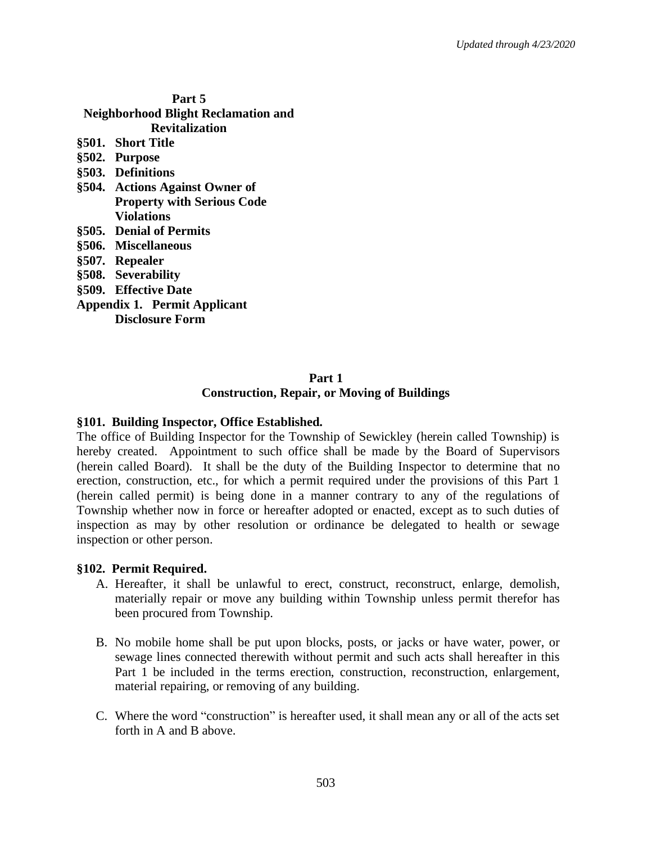| Part 5                                     |                                   |
|--------------------------------------------|-----------------------------------|
| <b>Neighborhood Blight Reclamation and</b> |                                   |
| <b>Revitalization</b>                      |                                   |
|                                            | §501. Short Title                 |
|                                            | §502. Purpose                     |
|                                            | §503. Definitions                 |
|                                            | §504. Actions Against Owner of    |
|                                            | <b>Property with Serious Code</b> |
|                                            | <b>Violations</b>                 |
|                                            | §505. Denial of Permits           |
|                                            | §506. Miscellaneous               |
|                                            | §507. Repealer                    |
|                                            | §508. Severability                |
|                                            | §509. Effective Date              |
| <b>Appendix 1. Permit Applicant</b>        |                                   |
|                                            | Disclosure Form                   |
|                                            |                                   |

#### **Part 1 Construction, Repair, or Moving of Buildings**

#### **§101. Building Inspector, Office Established.**

The office of Building Inspector for the Township of Sewickley (herein called Township) is hereby created. Appointment to such office shall be made by the Board of Supervisors (herein called Board). It shall be the duty of the Building Inspector to determine that no erection, construction, etc., for which a permit required under the provisions of this Part 1 (herein called permit) is being done in a manner contrary to any of the regulations of Township whether now in force or hereafter adopted or enacted, except as to such duties of inspection as may by other resolution or ordinance be delegated to health or sewage inspection or other person.

#### **§102. Permit Required.**

- A. Hereafter, it shall be unlawful to erect, construct, reconstruct, enlarge, demolish, materially repair or move any building within Township unless permit therefor has been procured from Township.
- B. No mobile home shall be put upon blocks, posts, or jacks or have water, power, or sewage lines connected therewith without permit and such acts shall hereafter in this Part 1 be included in the terms erection, construction, reconstruction, enlargement, material repairing, or removing of any building.
- C. Where the word "construction" is hereafter used, it shall mean any or all of the acts set forth in A and B above.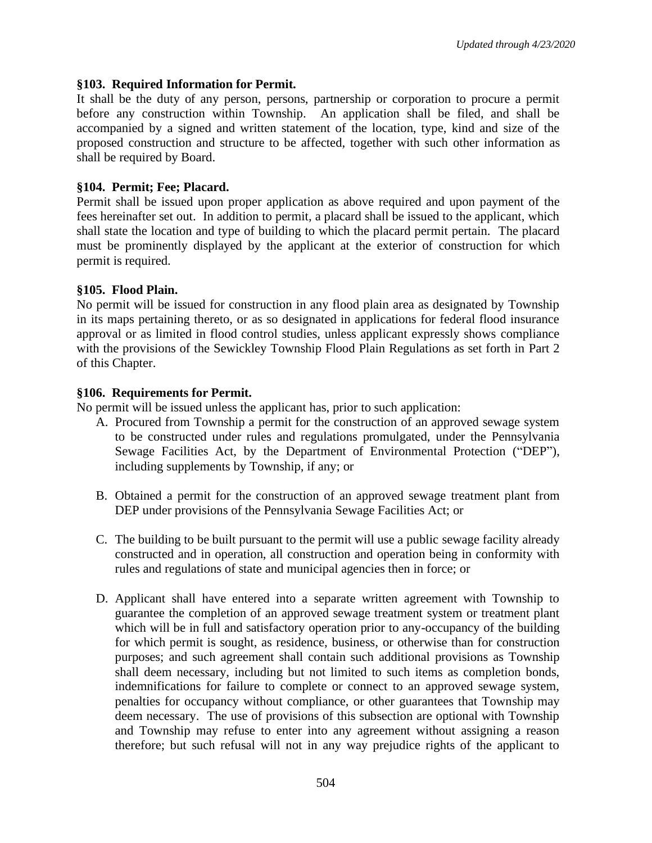#### **§103. Required Information for Permit.**

It shall be the duty of any person, persons, partnership or corporation to procure a permit before any construction within Township. An application shall be filed, and shall be accompanied by a signed and written statement of the location, type, kind and size of the proposed construction and structure to be affected, together with such other information as shall be required by Board.

#### **§104. Permit; Fee; Placard.**

Permit shall be issued upon proper application as above required and upon payment of the fees hereinafter set out. In addition to permit, a placard shall be issued to the applicant, which shall state the location and type of building to which the placard permit pertain. The placard must be prominently displayed by the applicant at the exterior of construction for which permit is required.

#### **§105. Flood Plain.**

No permit will be issued for construction in any flood plain area as designated by Township in its maps pertaining thereto, or as so designated in applications for federal flood insurance approval or as limited in flood control studies, unless applicant expressly shows compliance with the provisions of the Sewickley Township Flood Plain Regulations as set forth in Part 2 of this Chapter.

#### **§106. Requirements for Permit.**

No permit will be issued unless the applicant has, prior to such application:

- A. Procured from Township a permit for the construction of an approved sewage system to be constructed under rules and regulations promulgated, under the Pennsylvania Sewage Facilities Act, by the Department of Environmental Protection ("DEP"), including supplements by Township, if any; or
- B. Obtained a permit for the construction of an approved sewage treatment plant from DEP under provisions of the Pennsylvania Sewage Facilities Act; or
- C. The building to be built pursuant to the permit will use a public sewage facility already constructed and in operation, all construction and operation being in conformity with rules and regulations of state and municipal agencies then in force; or
- D. Applicant shall have entered into a separate written agreement with Township to guarantee the completion of an approved sewage treatment system or treatment plant which will be in full and satisfactory operation prior to any-occupancy of the building for which permit is sought, as residence, business, or otherwise than for construction purposes; and such agreement shall contain such additional provisions as Township shall deem necessary, including but not limited to such items as completion bonds, indemnifications for failure to complete or connect to an approved sewage system, penalties for occupancy without compliance, or other guarantees that Township may deem necessary. The use of provisions of this subsection are optional with Township and Township may refuse to enter into any agreement without assigning a reason therefore; but such refusal will not in any way prejudice rights of the applicant to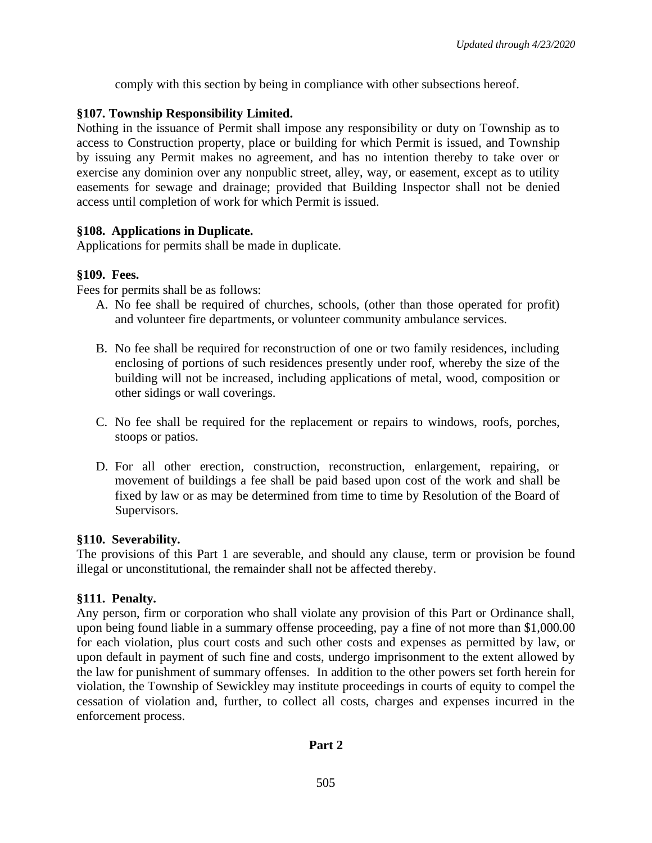comply with this section by being in compliance with other subsections hereof.

# **§107. Township Responsibility Limited.**

Nothing in the issuance of Permit shall impose any responsibility or duty on Township as to access to Construction property, place or building for which Permit is issued, and Township by issuing any Permit makes no agreement, and has no intention thereby to take over or exercise any dominion over any nonpublic street, alley, way, or easement, except as to utility easements for sewage and drainage; provided that Building Inspector shall not be denied access until completion of work for which Permit is issued.

# **§108. Applications in Duplicate.**

Applications for permits shall be made in duplicate.

# **§109. Fees.**

Fees for permits shall be as follows:

- A. No fee shall be required of churches, schools, (other than those operated for profit) and volunteer fire departments, or volunteer community ambulance services.
- B. No fee shall be required for reconstruction of one or two family residences, including enclosing of portions of such residences presently under roof, whereby the size of the building will not be increased, including applications of metal, wood, composition or other sidings or wall coverings.
- C. No fee shall be required for the replacement or repairs to windows, roofs, porches, stoops or patios.
- D. For all other erection, construction, reconstruction, enlargement, repairing, or movement of buildings a fee shall be paid based upon cost of the work and shall be fixed by law or as may be determined from time to time by Resolution of the Board of Supervisors.

# **§110. Severability.**

The provisions of this Part 1 are severable, and should any clause, term or provision be found illegal or unconstitutional, the remainder shall not be affected thereby.

# **§111. Penalty.**

Any person, firm or corporation who shall violate any provision of this Part or Ordinance shall, upon being found liable in a summary offense proceeding, pay a fine of not more than \$1,000.00 for each violation, plus court costs and such other costs and expenses as permitted by law, or upon default in payment of such fine and costs, undergo imprisonment to the extent allowed by the law for punishment of summary offenses. In addition to the other powers set forth herein for violation, the Township of Sewickley may institute proceedings in courts of equity to compel the cessation of violation and, further, to collect all costs, charges and expenses incurred in the enforcement process.

# **Part 2**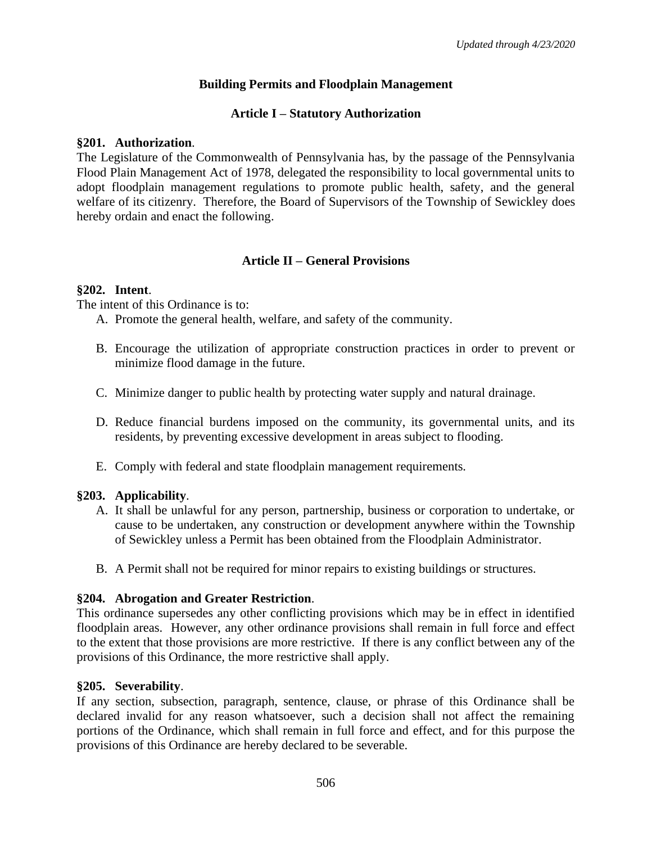# **Building Permits and Floodplain Management**

# **Article I – Statutory Authorization**

#### **§201. Authorization**.

The Legislature of the Commonwealth of Pennsylvania has, by the passage of the Pennsylvania Flood Plain Management Act of 1978, delegated the responsibility to local governmental units to adopt floodplain management regulations to promote public health, safety, and the general welfare of its citizenry. Therefore, the Board of Supervisors of the Township of Sewickley does hereby ordain and enact the following.

# **Article II – General Provisions**

# **§202. Intent**.

The intent of this Ordinance is to:

- A. Promote the general health, welfare, and safety of the community.
- B. Encourage the utilization of appropriate construction practices in order to prevent or minimize flood damage in the future.
- C. Minimize danger to public health by protecting water supply and natural drainage.
- D. Reduce financial burdens imposed on the community, its governmental units, and its residents, by preventing excessive development in areas subject to flooding.
- E. Comply with federal and state floodplain management requirements.

# **§203. Applicability**.

- A. It shall be unlawful for any person, partnership, business or corporation to undertake, or cause to be undertaken, any construction or development anywhere within the Township of Sewickley unless a Permit has been obtained from the Floodplain Administrator.
- B. A Permit shall not be required for minor repairs to existing buildings or structures.

# **§204. Abrogation and Greater Restriction**.

This ordinance supersedes any other conflicting provisions which may be in effect in identified floodplain areas. However, any other ordinance provisions shall remain in full force and effect to the extent that those provisions are more restrictive. If there is any conflict between any of the provisions of this Ordinance, the more restrictive shall apply.

# **§205. Severability**.

If any section, subsection, paragraph, sentence, clause, or phrase of this Ordinance shall be declared invalid for any reason whatsoever, such a decision shall not affect the remaining portions of the Ordinance, which shall remain in full force and effect, and for this purpose the provisions of this Ordinance are hereby declared to be severable.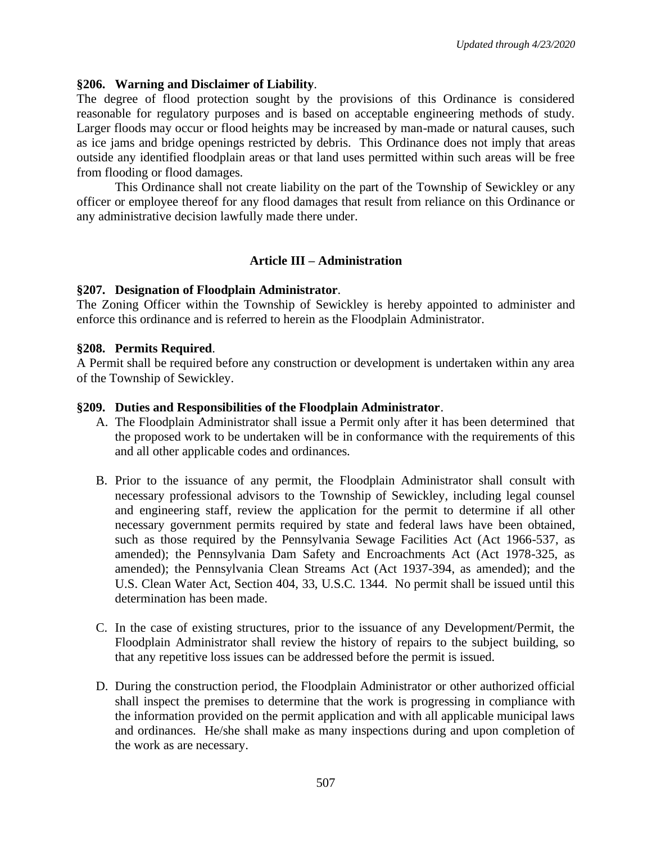#### **§206. Warning and Disclaimer of Liability**.

The degree of flood protection sought by the provisions of this Ordinance is considered reasonable for regulatory purposes and is based on acceptable engineering methods of study. Larger floods may occur or flood heights may be increased by man-made or natural causes, such as ice jams and bridge openings restricted by debris. This Ordinance does not imply that areas outside any identified floodplain areas or that land uses permitted within such areas will be free from flooding or flood damages.

This Ordinance shall not create liability on the part of the Township of Sewickley or any officer or employee thereof for any flood damages that result from reliance on this Ordinance or any administrative decision lawfully made there under.

# **Article III – Administration**

#### **§207. Designation of Floodplain Administrator**.

The Zoning Officer within the Township of Sewickley is hereby appointed to administer and enforce this ordinance and is referred to herein as the Floodplain Administrator.

#### **§208. Permits Required**.

A Permit shall be required before any construction or development is undertaken within any area of the Township of Sewickley.

#### **§209. Duties and Responsibilities of the Floodplain Administrator**.

- A. The Floodplain Administrator shall issue a Permit only after it has been determined that the proposed work to be undertaken will be in conformance with the requirements of this and all other applicable codes and ordinances.
- B. Prior to the issuance of any permit, the Floodplain Administrator shall consult with necessary professional advisors to the Township of Sewickley, including legal counsel and engineering staff, review the application for the permit to determine if all other necessary government permits required by state and federal laws have been obtained, such as those required by the Pennsylvania Sewage Facilities Act (Act 1966-537, as amended); the Pennsylvania Dam Safety and Encroachments Act (Act 1978-325, as amended); the Pennsylvania Clean Streams Act (Act 1937-394, as amended); and the U.S. Clean Water Act, Section 404, 33, U.S.C. 1344. No permit shall be issued until this determination has been made.
- C. In the case of existing structures, prior to the issuance of any Development/Permit, the Floodplain Administrator shall review the history of repairs to the subject building, so that any repetitive loss issues can be addressed before the permit is issued.
- D. During the construction period, the Floodplain Administrator or other authorized official shall inspect the premises to determine that the work is progressing in compliance with the information provided on the permit application and with all applicable municipal laws and ordinances. He/she shall make as many inspections during and upon completion of the work as are necessary.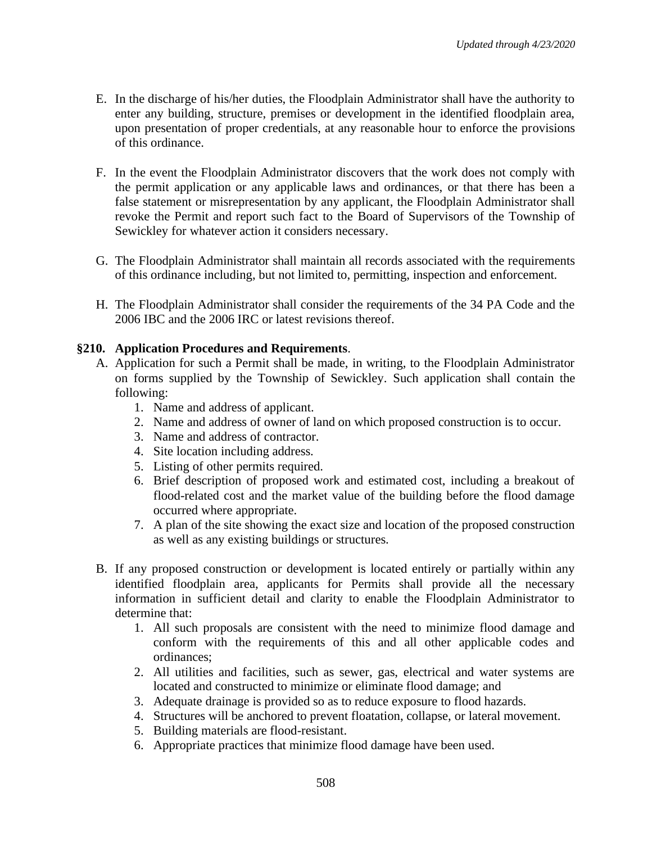- E. In the discharge of his/her duties, the Floodplain Administrator shall have the authority to enter any building, structure, premises or development in the identified floodplain area, upon presentation of proper credentials, at any reasonable hour to enforce the provisions of this ordinance.
- F. In the event the Floodplain Administrator discovers that the work does not comply with the permit application or any applicable laws and ordinances, or that there has been a false statement or misrepresentation by any applicant, the Floodplain Administrator shall revoke the Permit and report such fact to the Board of Supervisors of the Township of Sewickley for whatever action it considers necessary.
- G. The Floodplain Administrator shall maintain all records associated with the requirements of this ordinance including, but not limited to, permitting, inspection and enforcement.
- H. The Floodplain Administrator shall consider the requirements of the 34 PA Code and the 2006 IBC and the 2006 IRC or latest revisions thereof.

# **§210. Application Procedures and Requirements**.

- A. Application for such a Permit shall be made, in writing, to the Floodplain Administrator on forms supplied by the Township of Sewickley. Such application shall contain the following:
	- 1. Name and address of applicant.
	- 2. Name and address of owner of land on which proposed construction is to occur.
	- 3. Name and address of contractor.
	- 4. Site location including address.
	- 5. Listing of other permits required.
	- 6. Brief description of proposed work and estimated cost, including a breakout of flood-related cost and the market value of the building before the flood damage occurred where appropriate.
	- 7. A plan of the site showing the exact size and location of the proposed construction as well as any existing buildings or structures.
- B. If any proposed construction or development is located entirely or partially within any identified floodplain area, applicants for Permits shall provide all the necessary information in sufficient detail and clarity to enable the Floodplain Administrator to determine that:
	- 1. All such proposals are consistent with the need to minimize flood damage and conform with the requirements of this and all other applicable codes and ordinances;
	- 2. All utilities and facilities, such as sewer, gas, electrical and water systems are located and constructed to minimize or eliminate flood damage; and
	- 3. Adequate drainage is provided so as to reduce exposure to flood hazards.
	- 4. Structures will be anchored to prevent floatation, collapse, or lateral movement.
	- 5. Building materials are flood-resistant.
	- 6. Appropriate practices that minimize flood damage have been used.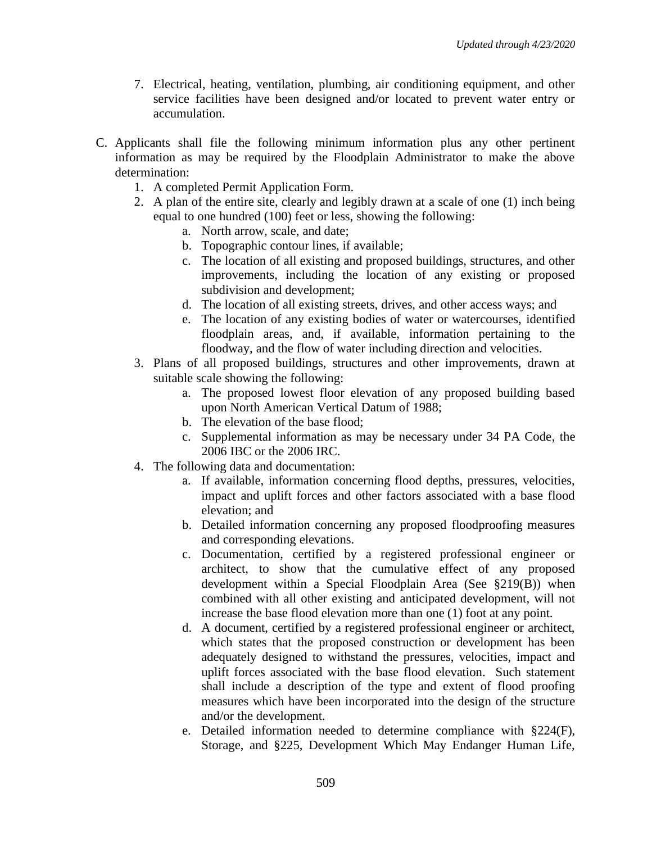- 7. Electrical, heating, ventilation, plumbing, air conditioning equipment, and other service facilities have been designed and/or located to prevent water entry or accumulation.
- C. Applicants shall file the following minimum information plus any other pertinent information as may be required by the Floodplain Administrator to make the above determination:
	- 1. A completed Permit Application Form.
	- 2. A plan of the entire site, clearly and legibly drawn at a scale of one (1) inch being equal to one hundred (100) feet or less, showing the following:
		- a. North arrow, scale, and date;
		- b. Topographic contour lines, if available;
		- c. The location of all existing and proposed buildings, structures, and other improvements, including the location of any existing or proposed subdivision and development;
		- d. The location of all existing streets, drives, and other access ways; and
		- e. The location of any existing bodies of water or watercourses, identified floodplain areas, and, if available, information pertaining to the floodway, and the flow of water including direction and velocities.
	- 3. Plans of all proposed buildings, structures and other improvements, drawn at suitable scale showing the following:
		- a. The proposed lowest floor elevation of any proposed building based upon North American Vertical Datum of 1988;
		- b. The elevation of the base flood;
		- c. Supplemental information as may be necessary under 34 PA Code, the 2006 IBC or the 2006 IRC.
	- 4. The following data and documentation:
		- a. If available, information concerning flood depths, pressures, velocities, impact and uplift forces and other factors associated with a base flood elevation; and
		- b. Detailed information concerning any proposed floodproofing measures and corresponding elevations.
		- c. Documentation, certified by a registered professional engineer or architect, to show that the cumulative effect of any proposed development within a Special Floodplain Area (See §219(B)) when combined with all other existing and anticipated development, will not increase the base flood elevation more than one (1) foot at any point.
		- d. A document, certified by a registered professional engineer or architect, which states that the proposed construction or development has been adequately designed to withstand the pressures, velocities, impact and uplift forces associated with the base flood elevation. Such statement shall include a description of the type and extent of flood proofing measures which have been incorporated into the design of the structure and/or the development.
		- e. Detailed information needed to determine compliance with §224(F), Storage, and §225, Development Which May Endanger Human Life,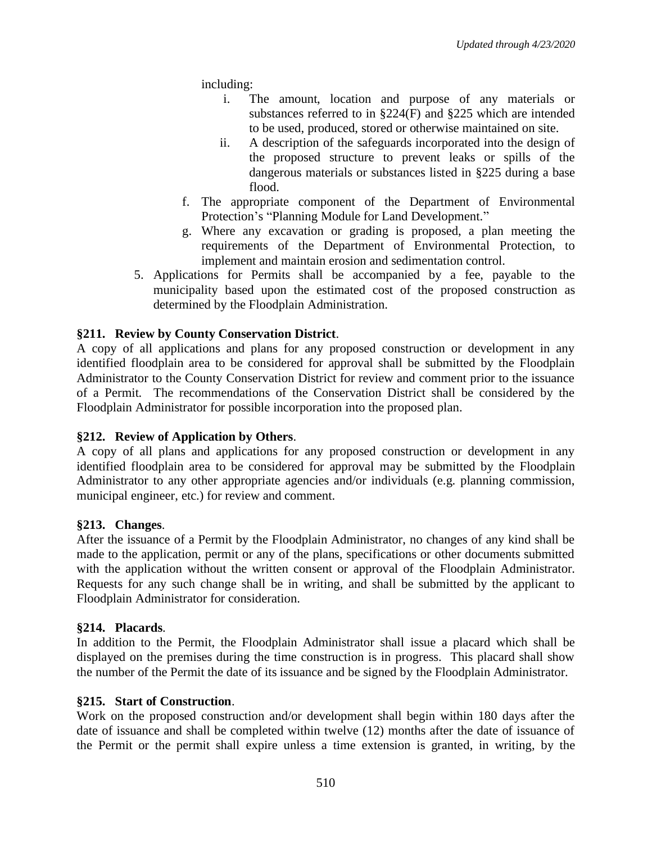including:

- i. The amount, location and purpose of any materials or substances referred to in §224(F) and §225 which are intended to be used, produced, stored or otherwise maintained on site.
- ii. A description of the safeguards incorporated into the design of the proposed structure to prevent leaks or spills of the dangerous materials or substances listed in §225 during a base flood.
- f. The appropriate component of the Department of Environmental Protection's "Planning Module for Land Development."
- g. Where any excavation or grading is proposed, a plan meeting the requirements of the Department of Environmental Protection, to implement and maintain erosion and sedimentation control.
- 5. Applications for Permits shall be accompanied by a fee, payable to the municipality based upon the estimated cost of the proposed construction as determined by the Floodplain Administration.

# **§211. Review by County Conservation District**.

A copy of all applications and plans for any proposed construction or development in any identified floodplain area to be considered for approval shall be submitted by the Floodplain Administrator to the County Conservation District for review and comment prior to the issuance of a Permit. The recommendations of the Conservation District shall be considered by the Floodplain Administrator for possible incorporation into the proposed plan.

# **§212. Review of Application by Others**.

A copy of all plans and applications for any proposed construction or development in any identified floodplain area to be considered for approval may be submitted by the Floodplain Administrator to any other appropriate agencies and/or individuals (e.g. planning commission, municipal engineer, etc.) for review and comment.

#### **§213. Changes**.

After the issuance of a Permit by the Floodplain Administrator, no changes of any kind shall be made to the application, permit or any of the plans, specifications or other documents submitted with the application without the written consent or approval of the Floodplain Administrator. Requests for any such change shall be in writing, and shall be submitted by the applicant to Floodplain Administrator for consideration.

#### **§214. Placards**.

In addition to the Permit, the Floodplain Administrator shall issue a placard which shall be displayed on the premises during the time construction is in progress. This placard shall show the number of the Permit the date of its issuance and be signed by the Floodplain Administrator.

#### **§215. Start of Construction**.

Work on the proposed construction and/or development shall begin within 180 days after the date of issuance and shall be completed within twelve (12) months after the date of issuance of the Permit or the permit shall expire unless a time extension is granted, in writing, by the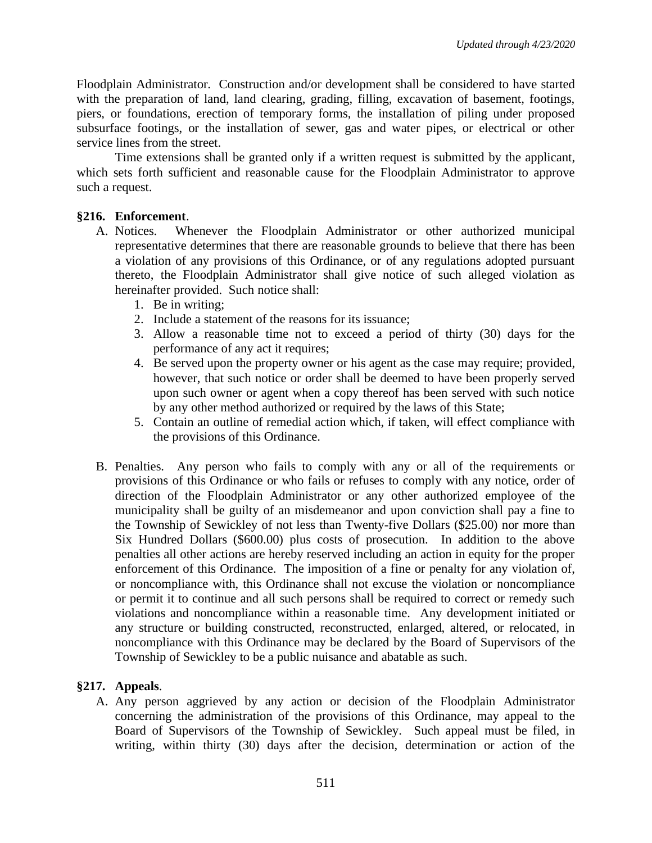Floodplain Administrator. Construction and/or development shall be considered to have started with the preparation of land, land clearing, grading, filling, excavation of basement, footings, piers, or foundations, erection of temporary forms, the installation of piling under proposed subsurface footings, or the installation of sewer, gas and water pipes, or electrical or other service lines from the street.

Time extensions shall be granted only if a written request is submitted by the applicant, which sets forth sufficient and reasonable cause for the Floodplain Administrator to approve such a request.

# **§216. Enforcement**.

- A. Notices. Whenever the Floodplain Administrator or other authorized municipal representative determines that there are reasonable grounds to believe that there has been a violation of any provisions of this Ordinance, or of any regulations adopted pursuant thereto, the Floodplain Administrator shall give notice of such alleged violation as hereinafter provided. Such notice shall:
	- 1. Be in writing;
	- 2. Include a statement of the reasons for its issuance;
	- 3. Allow a reasonable time not to exceed a period of thirty (30) days for the performance of any act it requires;
	- 4. Be served upon the property owner or his agent as the case may require; provided, however, that such notice or order shall be deemed to have been properly served upon such owner or agent when a copy thereof has been served with such notice by any other method authorized or required by the laws of this State;
	- 5. Contain an outline of remedial action which, if taken, will effect compliance with the provisions of this Ordinance.
- B. Penalties. Any person who fails to comply with any or all of the requirements or provisions of this Ordinance or who fails or refuses to comply with any notice, order of direction of the Floodplain Administrator or any other authorized employee of the municipality shall be guilty of an misdemeanor and upon conviction shall pay a fine to the Township of Sewickley of not less than Twenty-five Dollars (\$25.00) nor more than Six Hundred Dollars (\$600.00) plus costs of prosecution. In addition to the above penalties all other actions are hereby reserved including an action in equity for the proper enforcement of this Ordinance. The imposition of a fine or penalty for any violation of, or noncompliance with, this Ordinance shall not excuse the violation or noncompliance or permit it to continue and all such persons shall be required to correct or remedy such violations and noncompliance within a reasonable time. Any development initiated or any structure or building constructed, reconstructed, enlarged, altered, or relocated, in noncompliance with this Ordinance may be declared by the Board of Supervisors of the Township of Sewickley to be a public nuisance and abatable as such.

# **§217. Appeals**.

A. Any person aggrieved by any action or decision of the Floodplain Administrator concerning the administration of the provisions of this Ordinance, may appeal to the Board of Supervisors of the Township of Sewickley. Such appeal must be filed, in writing, within thirty (30) days after the decision, determination or action of the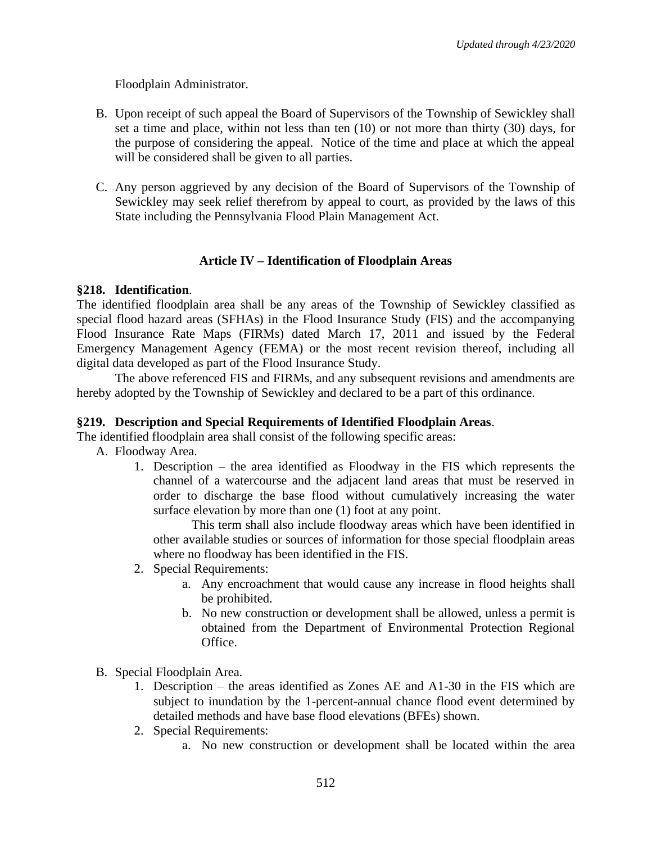Floodplain Administrator.

- B. Upon receipt of such appeal the Board of Supervisors of the Township of Sewickley shall set a time and place, within not less than ten (10) or not more than thirty (30) days, for the purpose of considering the appeal. Notice of the time and place at which the appeal will be considered shall be given to all parties.
- C. Any person aggrieved by any decision of the Board of Supervisors of the Township of Sewickley may seek relief therefrom by appeal to court, as provided by the laws of this State including the Pennsylvania Flood Plain Management Act.

# **Article IV – Identification of Floodplain Areas**

# **§218. Identification**.

The identified floodplain area shall be any areas of the Township of Sewickley classified as special flood hazard areas (SFHAs) in the Flood Insurance Study (FIS) and the accompanying Flood Insurance Rate Maps (FIRMs) dated March 17, 2011 and issued by the Federal Emergency Management Agency (FEMA) or the most recent revision thereof, including all digital data developed as part of the Flood Insurance Study.

The above referenced FIS and FIRMs, and any subsequent revisions and amendments are hereby adopted by the Township of Sewickley and declared to be a part of this ordinance.

# **§219. Description and Special Requirements of Identified Floodplain Areas**.

The identified floodplain area shall consist of the following specific areas:

A. Floodway Area.

1. Description – the area identified as Floodway in the FIS which represents the channel of a watercourse and the adjacent land areas that must be reserved in order to discharge the base flood without cumulatively increasing the water surface elevation by more than one (1) foot at any point.

This term shall also include floodway areas which have been identified in other available studies or sources of information for those special floodplain areas where no floodway has been identified in the FIS.

- 2. Special Requirements:
	- a. Any encroachment that would cause any increase in flood heights shall be prohibited.
	- b. No new construction or development shall be allowed, unless a permit is obtained from the Department of Environmental Protection Regional Office.
- B. Special Floodplain Area.
	- 1. Description the areas identified as Zones AE and A1-30 in the FIS which are subject to inundation by the 1-percent-annual chance flood event determined by detailed methods and have base flood elevations (BFEs) shown.
	- 2. Special Requirements:
		- a. No new construction or development shall be located within the area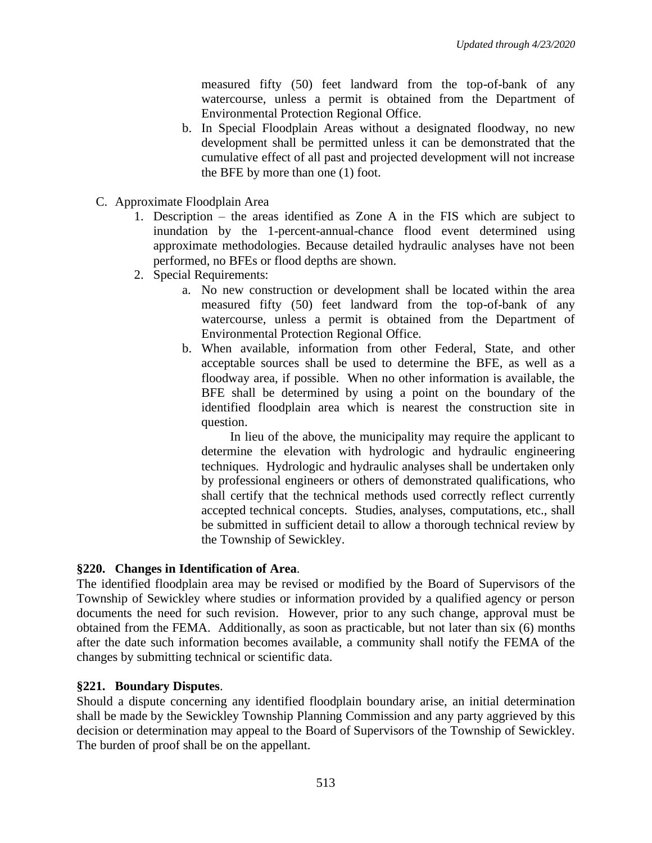measured fifty (50) feet landward from the top-of-bank of any watercourse, unless a permit is obtained from the Department of Environmental Protection Regional Office.

- b. In Special Floodplain Areas without a designated floodway, no new development shall be permitted unless it can be demonstrated that the cumulative effect of all past and projected development will not increase the BFE by more than one (1) foot.
- C. Approximate Floodplain Area
	- 1. Description the areas identified as Zone A in the FIS which are subject to inundation by the 1-percent-annual-chance flood event determined using approximate methodologies. Because detailed hydraulic analyses have not been performed, no BFEs or flood depths are shown.
	- 2. Special Requirements:
		- a. No new construction or development shall be located within the area measured fifty (50) feet landward from the top-of-bank of any watercourse, unless a permit is obtained from the Department of Environmental Protection Regional Office.
		- b. When available, information from other Federal, State, and other acceptable sources shall be used to determine the BFE, as well as a floodway area, if possible. When no other information is available, the BFE shall be determined by using a point on the boundary of the identified floodplain area which is nearest the construction site in question.

In lieu of the above, the municipality may require the applicant to determine the elevation with hydrologic and hydraulic engineering techniques. Hydrologic and hydraulic analyses shall be undertaken only by professional engineers or others of demonstrated qualifications, who shall certify that the technical methods used correctly reflect currently accepted technical concepts. Studies, analyses, computations, etc., shall be submitted in sufficient detail to allow a thorough technical review by the Township of Sewickley.

# **§220. Changes in Identification of Area**.

The identified floodplain area may be revised or modified by the Board of Supervisors of the Township of Sewickley where studies or information provided by a qualified agency or person documents the need for such revision. However, prior to any such change, approval must be obtained from the FEMA. Additionally, as soon as practicable, but not later than six (6) months after the date such information becomes available, a community shall notify the FEMA of the changes by submitting technical or scientific data.

# **§221. Boundary Disputes**.

Should a dispute concerning any identified floodplain boundary arise, an initial determination shall be made by the Sewickley Township Planning Commission and any party aggrieved by this decision or determination may appeal to the Board of Supervisors of the Township of Sewickley. The burden of proof shall be on the appellant.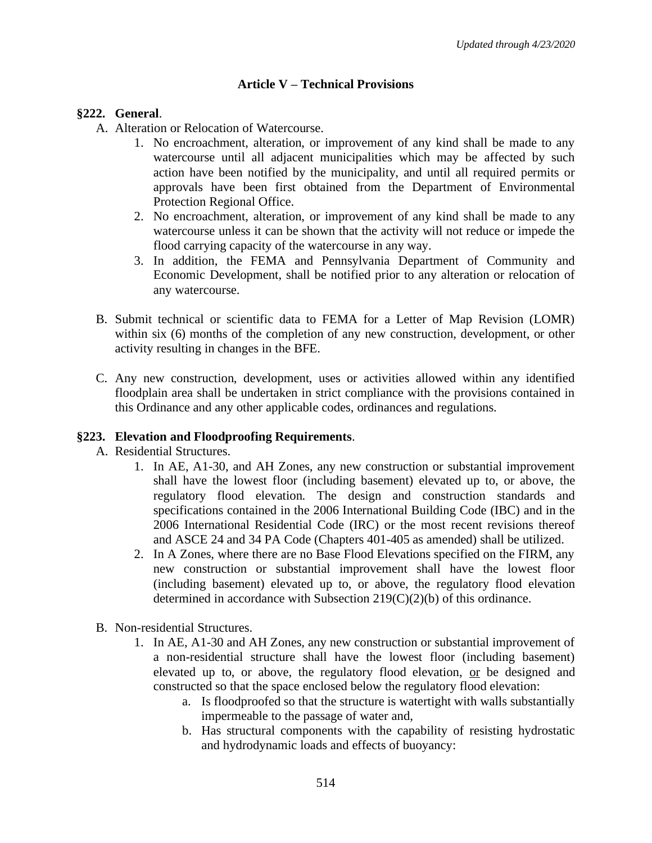# **Article V – Technical Provisions**

#### **§222. General**.

- A. Alteration or Relocation of Watercourse.
	- 1. No encroachment, alteration, or improvement of any kind shall be made to any watercourse until all adjacent municipalities which may be affected by such action have been notified by the municipality, and until all required permits or approvals have been first obtained from the Department of Environmental Protection Regional Office.
	- 2. No encroachment, alteration, or improvement of any kind shall be made to any watercourse unless it can be shown that the activity will not reduce or impede the flood carrying capacity of the watercourse in any way.
	- 3. In addition, the FEMA and Pennsylvania Department of Community and Economic Development, shall be notified prior to any alteration or relocation of any watercourse.
- B. Submit technical or scientific data to FEMA for a Letter of Map Revision (LOMR) within six (6) months of the completion of any new construction, development, or other activity resulting in changes in the BFE.
- C. Any new construction, development, uses or activities allowed within any identified floodplain area shall be undertaken in strict compliance with the provisions contained in this Ordinance and any other applicable codes, ordinances and regulations.

# **§223. Elevation and Floodproofing Requirements**.

- A. Residential Structures.
	- 1. In AE, A1-30, and AH Zones, any new construction or substantial improvement shall have the lowest floor (including basement) elevated up to, or above, the regulatory flood elevation. The design and construction standards and specifications contained in the 2006 International Building Code (IBC) and in the 2006 International Residential Code (IRC) or the most recent revisions thereof and ASCE 24 and 34 PA Code (Chapters 401-405 as amended) shall be utilized.
	- 2. In A Zones, where there are no Base Flood Elevations specified on the FIRM, any new construction or substantial improvement shall have the lowest floor (including basement) elevated up to, or above, the regulatory flood elevation determined in accordance with Subsection 219(C)(2)(b) of this ordinance.
- B. Non-residential Structures.
	- 1. In AE, A1-30 and AH Zones, any new construction or substantial improvement of a non-residential structure shall have the lowest floor (including basement) elevated up to, or above, the regulatory flood elevation, or be designed and constructed so that the space enclosed below the regulatory flood elevation:
		- a. Is floodproofed so that the structure is watertight with walls substantially impermeable to the passage of water and,
		- b. Has structural components with the capability of resisting hydrostatic and hydrodynamic loads and effects of buoyancy: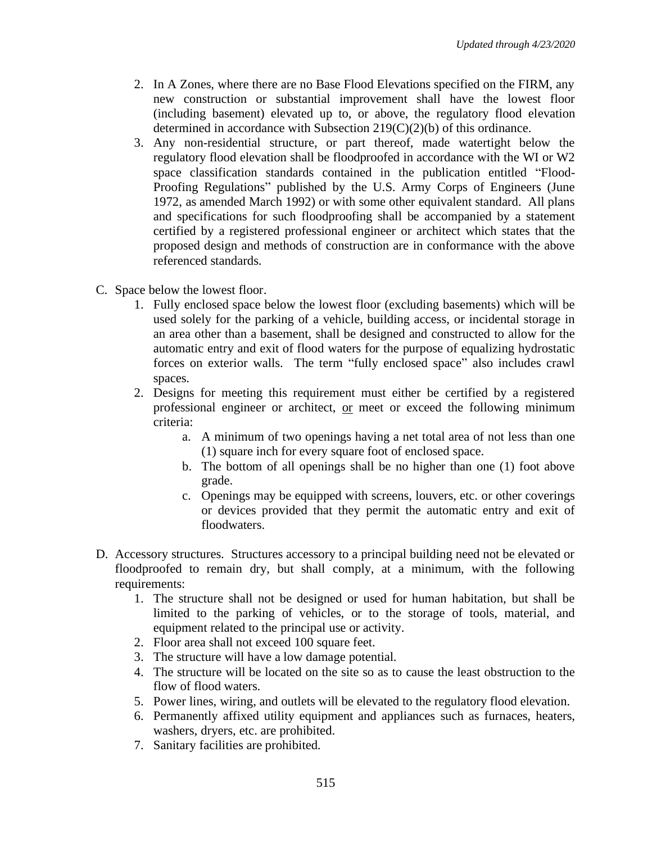- 2. In A Zones, where there are no Base Flood Elevations specified on the FIRM, any new construction or substantial improvement shall have the lowest floor (including basement) elevated up to, or above, the regulatory flood elevation determined in accordance with Subsection 219(C)(2)(b) of this ordinance.
- 3. Any non-residential structure, or part thereof, made watertight below the regulatory flood elevation shall be floodproofed in accordance with the WI or W2 space classification standards contained in the publication entitled "Flood-Proofing Regulations" published by the U.S. Army Corps of Engineers (June 1972, as amended March 1992) or with some other equivalent standard. All plans and specifications for such floodproofing shall be accompanied by a statement certified by a registered professional engineer or architect which states that the proposed design and methods of construction are in conformance with the above referenced standards.
- C. Space below the lowest floor.
	- 1. Fully enclosed space below the lowest floor (excluding basements) which will be used solely for the parking of a vehicle, building access, or incidental storage in an area other than a basement, shall be designed and constructed to allow for the automatic entry and exit of flood waters for the purpose of equalizing hydrostatic forces on exterior walls. The term "fully enclosed space" also includes crawl spaces.
	- 2. Designs for meeting this requirement must either be certified by a registered professional engineer or architect, or meet or exceed the following minimum criteria:
		- a. A minimum of two openings having a net total area of not less than one (1) square inch for every square foot of enclosed space.
		- b. The bottom of all openings shall be no higher than one (1) foot above grade.
		- c. Openings may be equipped with screens, louvers, etc. or other coverings or devices provided that they permit the automatic entry and exit of floodwaters.
- D. Accessory structures. Structures accessory to a principal building need not be elevated or floodproofed to remain dry, but shall comply, at a minimum, with the following requirements:
	- 1. The structure shall not be designed or used for human habitation, but shall be limited to the parking of vehicles, or to the storage of tools, material, and equipment related to the principal use or activity.
	- 2. Floor area shall not exceed 100 square feet.
	- 3. The structure will have a low damage potential.
	- 4. The structure will be located on the site so as to cause the least obstruction to the flow of flood waters.
	- 5. Power lines, wiring, and outlets will be elevated to the regulatory flood elevation.
	- 6. Permanently affixed utility equipment and appliances such as furnaces, heaters, washers, dryers, etc. are prohibited.
	- 7. Sanitary facilities are prohibited.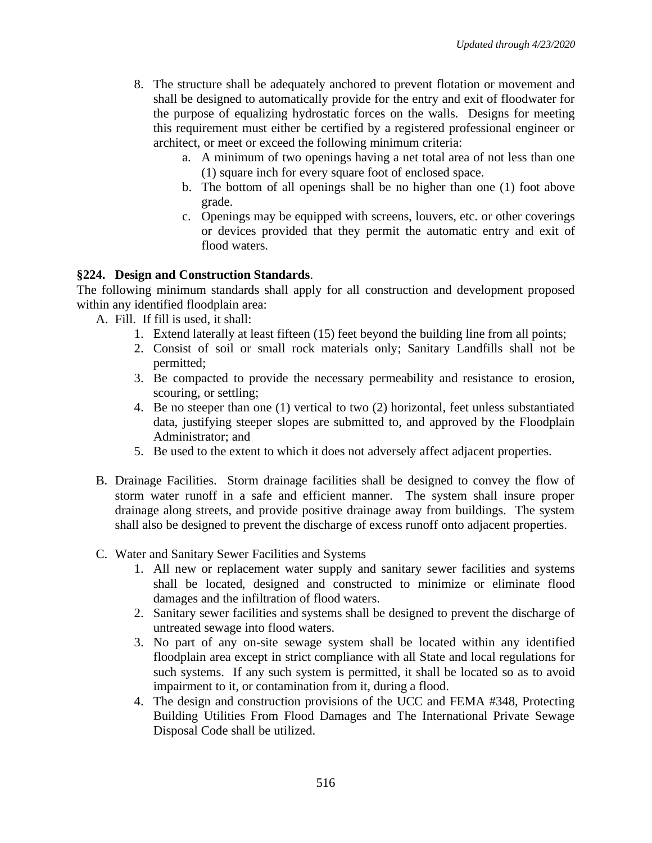- 8. The structure shall be adequately anchored to prevent flotation or movement and shall be designed to automatically provide for the entry and exit of floodwater for the purpose of equalizing hydrostatic forces on the walls. Designs for meeting this requirement must either be certified by a registered professional engineer or architect, or meet or exceed the following minimum criteria:
	- a. A minimum of two openings having a net total area of not less than one (1) square inch for every square foot of enclosed space.
	- b. The bottom of all openings shall be no higher than one (1) foot above grade.
	- c. Openings may be equipped with screens, louvers, etc. or other coverings or devices provided that they permit the automatic entry and exit of flood waters.

# **§224. Design and Construction Standards**.

The following minimum standards shall apply for all construction and development proposed within any identified floodplain area:

- A. Fill. If fill is used, it shall:
	- 1. Extend laterally at least fifteen (15) feet beyond the building line from all points;
	- 2. Consist of soil or small rock materials only; Sanitary Landfills shall not be permitted;
	- 3. Be compacted to provide the necessary permeability and resistance to erosion, scouring, or settling;
	- 4. Be no steeper than one (1) vertical to two (2) horizontal, feet unless substantiated data, justifying steeper slopes are submitted to, and approved by the Floodplain Administrator; and
	- 5. Be used to the extent to which it does not adversely affect adjacent properties.
- B. Drainage Facilities. Storm drainage facilities shall be designed to convey the flow of storm water runoff in a safe and efficient manner. The system shall insure proper drainage along streets, and provide positive drainage away from buildings. The system shall also be designed to prevent the discharge of excess runoff onto adjacent properties.
- C. Water and Sanitary Sewer Facilities and Systems
	- 1. All new or replacement water supply and sanitary sewer facilities and systems shall be located, designed and constructed to minimize or eliminate flood damages and the infiltration of flood waters.
	- 2. Sanitary sewer facilities and systems shall be designed to prevent the discharge of untreated sewage into flood waters.
	- 3. No part of any on-site sewage system shall be located within any identified floodplain area except in strict compliance with all State and local regulations for such systems. If any such system is permitted, it shall be located so as to avoid impairment to it, or contamination from it, during a flood.
	- 4. The design and construction provisions of the UCC and FEMA #348, Protecting Building Utilities From Flood Damages and The International Private Sewage Disposal Code shall be utilized.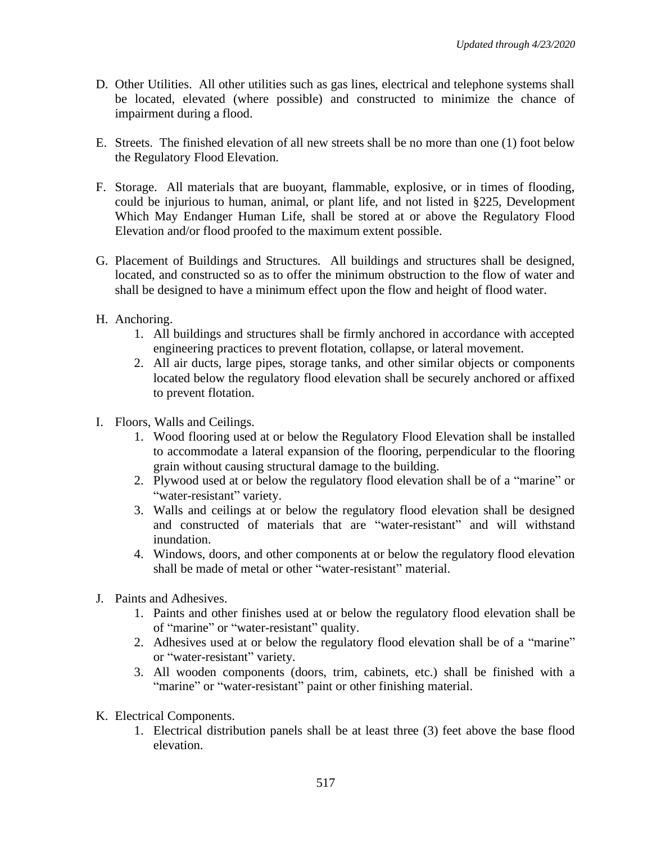- D. Other Utilities. All other utilities such as gas lines, electrical and telephone systems shall be located, elevated (where possible) and constructed to minimize the chance of impairment during a flood.
- E. Streets. The finished elevation of all new streets shall be no more than one (1) foot below the Regulatory Flood Elevation.
- F. Storage. All materials that are buoyant, flammable, explosive, or in times of flooding, could be injurious to human, animal, or plant life, and not listed in §225, Development Which May Endanger Human Life, shall be stored at or above the Regulatory Flood Elevation and/or flood proofed to the maximum extent possible.
- G. Placement of Buildings and Structures. All buildings and structures shall be designed, located, and constructed so as to offer the minimum obstruction to the flow of water and shall be designed to have a minimum effect upon the flow and height of flood water.
- H. Anchoring.
	- 1. All buildings and structures shall be firmly anchored in accordance with accepted engineering practices to prevent flotation, collapse, or lateral movement.
	- 2. All air ducts, large pipes, storage tanks, and other similar objects or components located below the regulatory flood elevation shall be securely anchored or affixed to prevent flotation.
- I. Floors, Walls and Ceilings.
	- 1. Wood flooring used at or below the Regulatory Flood Elevation shall be installed to accommodate a lateral expansion of the flooring, perpendicular to the flooring grain without causing structural damage to the building.
	- 2. Plywood used at or below the regulatory flood elevation shall be of a "marine" or "water-resistant" variety.
	- 3. Walls and ceilings at or below the regulatory flood elevation shall be designed and constructed of materials that are "water-resistant" and will withstand inundation.
	- 4. Windows, doors, and other components at or below the regulatory flood elevation shall be made of metal or other "water-resistant" material.
- J. Paints and Adhesives.
	- 1. Paints and other finishes used at or below the regulatory flood elevation shall be of "marine" or "water-resistant" quality.
	- 2. Adhesives used at or below the regulatory flood elevation shall be of a "marine" or "water-resistant" variety.
	- 3. All wooden components (doors, trim, cabinets, etc.) shall be finished with a "marine" or "water-resistant" paint or other finishing material.
- K. Electrical Components.
	- 1. Electrical distribution panels shall be at least three (3) feet above the base flood elevation.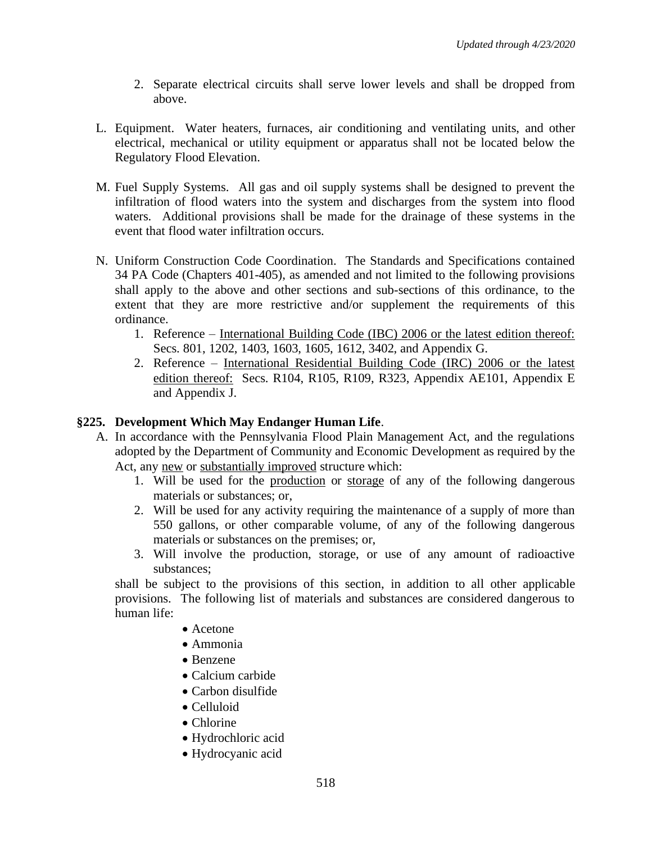- 2. Separate electrical circuits shall serve lower levels and shall be dropped from above.
- L. Equipment. Water heaters, furnaces, air conditioning and ventilating units, and other electrical, mechanical or utility equipment or apparatus shall not be located below the Regulatory Flood Elevation.
- M. Fuel Supply Systems. All gas and oil supply systems shall be designed to prevent the infiltration of flood waters into the system and discharges from the system into flood waters. Additional provisions shall be made for the drainage of these systems in the event that flood water infiltration occurs.
- N. Uniform Construction Code Coordination. The Standards and Specifications contained 34 PA Code (Chapters 401-405), as amended and not limited to the following provisions shall apply to the above and other sections and sub-sections of this ordinance, to the extent that they are more restrictive and/or supplement the requirements of this ordinance.
	- 1. Reference International Building Code (IBC) 2006 or the latest edition thereof: Secs. 801, 1202, 1403, 1603, 1605, 1612, 3402, and Appendix G.
	- 2. Reference International Residential Building Code (IRC) 2006 or the latest edition thereof: Secs. R104, R105, R109, R323, Appendix AE101, Appendix E and Appendix J.

# **§225. Development Which May Endanger Human Life**.

- A. In accordance with the Pennsylvania Flood Plain Management Act, and the regulations adopted by the Department of Community and Economic Development as required by the Act, any new or substantially improved structure which:
	- 1. Will be used for the production or storage of any of the following dangerous materials or substances; or,
	- 2. Will be used for any activity requiring the maintenance of a supply of more than 550 gallons, or other comparable volume, of any of the following dangerous materials or substances on the premises; or,
	- 3. Will involve the production, storage, or use of any amount of radioactive substances;

shall be subject to the provisions of this section, in addition to all other applicable provisions. The following list of materials and substances are considered dangerous to human life:

- Acetone
- Ammonia
- Benzene
- Calcium carbide
- Carbon disulfide
- Celluloid
- Chlorine
- Hydrochloric acid
- Hydrocyanic acid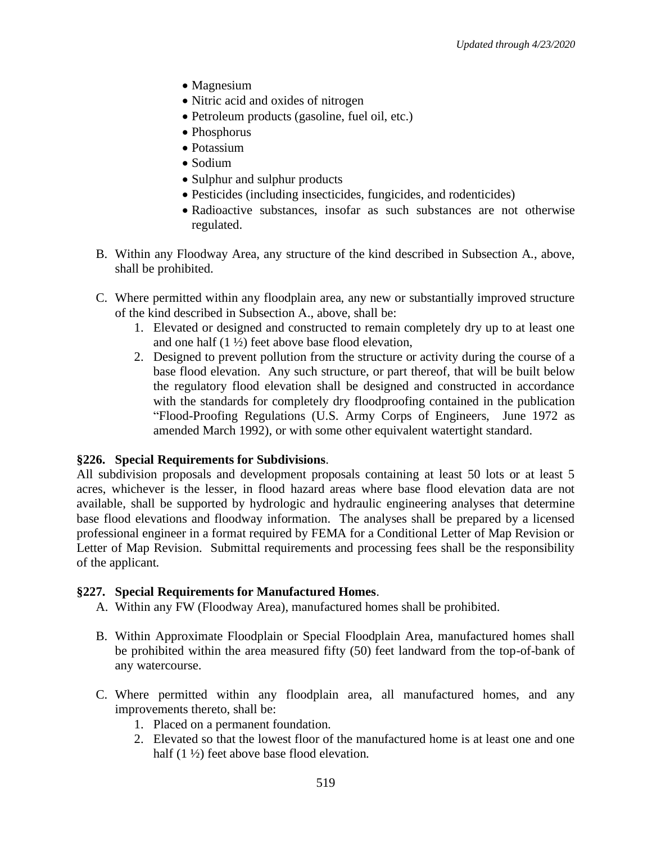- Magnesium
- Nitric acid and oxides of nitrogen
- Petroleum products (gasoline, fuel oil, etc.)
- Phosphorus
- Potassium
- Sodium
- Sulphur and sulphur products
- Pesticides (including insecticides, fungicides, and rodenticides)
- Radioactive substances, insofar as such substances are not otherwise regulated.
- B. Within any Floodway Area, any structure of the kind described in Subsection A., above, shall be prohibited.
- C. Where permitted within any floodplain area, any new or substantially improved structure of the kind described in Subsection A., above, shall be:
	- 1. Elevated or designed and constructed to remain completely dry up to at least one and one half  $(1 \frac{1}{2})$  feet above base flood elevation,
	- 2. Designed to prevent pollution from the structure or activity during the course of a base flood elevation. Any such structure, or part thereof, that will be built below the regulatory flood elevation shall be designed and constructed in accordance with the standards for completely dry floodproofing contained in the publication "Flood-Proofing Regulations (U.S. Army Corps of Engineers, June 1972 as amended March 1992), or with some other equivalent watertight standard.

# **§226. Special Requirements for Subdivisions**.

All subdivision proposals and development proposals containing at least 50 lots or at least 5 acres, whichever is the lesser, in flood hazard areas where base flood elevation data are not available, shall be supported by hydrologic and hydraulic engineering analyses that determine base flood elevations and floodway information. The analyses shall be prepared by a licensed professional engineer in a format required by FEMA for a Conditional Letter of Map Revision or Letter of Map Revision. Submittal requirements and processing fees shall be the responsibility of the applicant.

# **§227. Special Requirements for Manufactured Homes**.

- A. Within any FW (Floodway Area), manufactured homes shall be prohibited.
- B. Within Approximate Floodplain or Special Floodplain Area, manufactured homes shall be prohibited within the area measured fifty (50) feet landward from the top-of-bank of any watercourse.
- C. Where permitted within any floodplain area, all manufactured homes, and any improvements thereto, shall be:
	- 1. Placed on a permanent foundation.
	- 2. Elevated so that the lowest floor of the manufactured home is at least one and one half (1  $\frac{1}{2}$ ) feet above base flood elevation.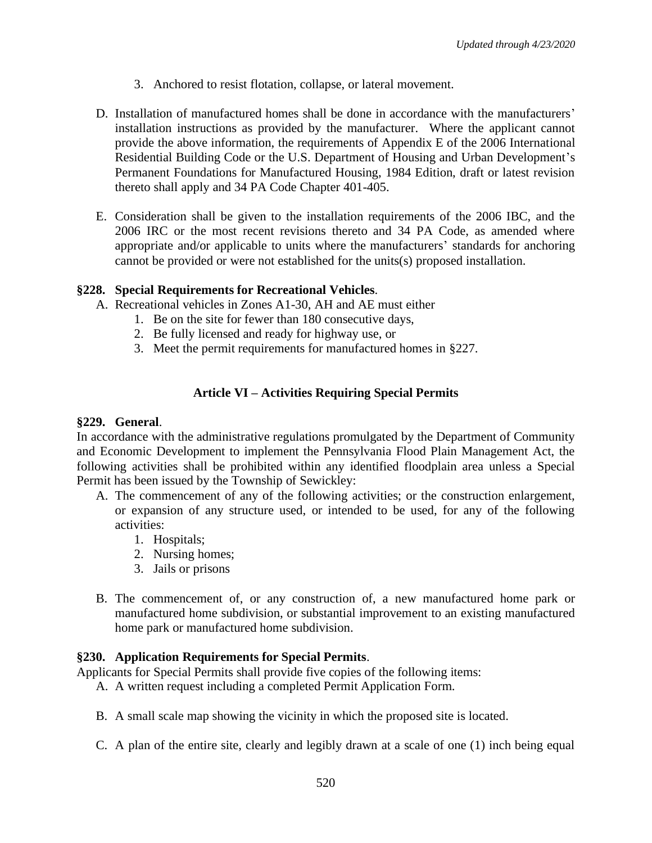- 3. Anchored to resist flotation, collapse, or lateral movement.
- D. Installation of manufactured homes shall be done in accordance with the manufacturers' installation instructions as provided by the manufacturer. Where the applicant cannot provide the above information, the requirements of Appendix E of the 2006 International Residential Building Code or the U.S. Department of Housing and Urban Development's Permanent Foundations for Manufactured Housing, 1984 Edition, draft or latest revision thereto shall apply and 34 PA Code Chapter 401-405.
- E. Consideration shall be given to the installation requirements of the 2006 IBC, and the 2006 IRC or the most recent revisions thereto and 34 PA Code, as amended where appropriate and/or applicable to units where the manufacturers' standards for anchoring cannot be provided or were not established for the units(s) proposed installation.

# **§228. Special Requirements for Recreational Vehicles**.

- A. Recreational vehicles in Zones A1-30, AH and AE must either
	- 1. Be on the site for fewer than 180 consecutive days,
	- 2. Be fully licensed and ready for highway use, or
	- 3. Meet the permit requirements for manufactured homes in §227.

# **Article VI – Activities Requiring Special Permits**

# **§229. General**.

In accordance with the administrative regulations promulgated by the Department of Community and Economic Development to implement the Pennsylvania Flood Plain Management Act, the following activities shall be prohibited within any identified floodplain area unless a Special Permit has been issued by the Township of Sewickley:

- A. The commencement of any of the following activities; or the construction enlargement, or expansion of any structure used, or intended to be used, for any of the following activities:
	- 1. Hospitals;
	- 2. Nursing homes;
	- 3. Jails or prisons
- B. The commencement of, or any construction of, a new manufactured home park or manufactured home subdivision, or substantial improvement to an existing manufactured home park or manufactured home subdivision.

# **§230. Application Requirements for Special Permits**.

Applicants for Special Permits shall provide five copies of the following items:

- A. A written request including a completed Permit Application Form.
- B. A small scale map showing the vicinity in which the proposed site is located.
- C. A plan of the entire site, clearly and legibly drawn at a scale of one (1) inch being equal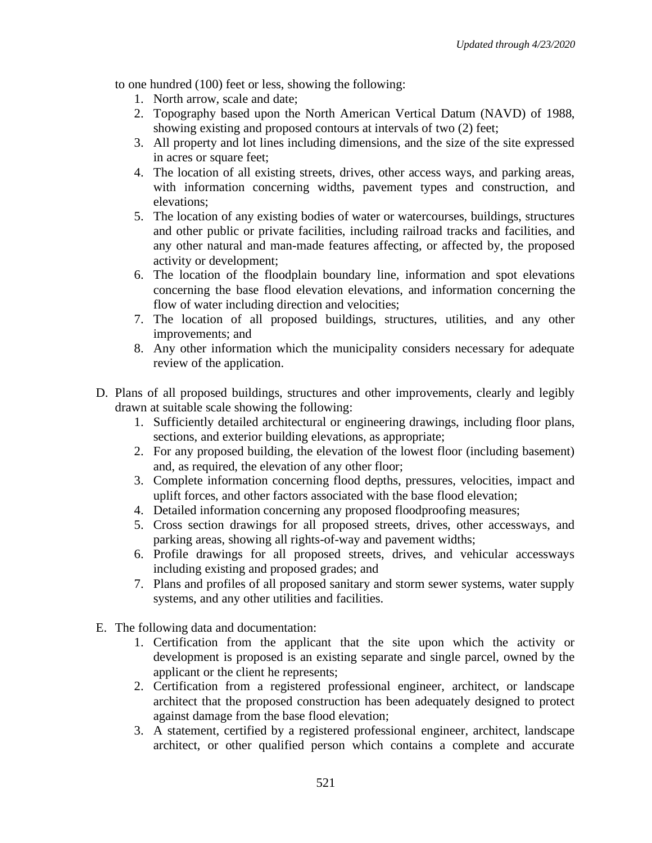to one hundred (100) feet or less, showing the following:

- 1. North arrow, scale and date;
- 2. Topography based upon the North American Vertical Datum (NAVD) of 1988, showing existing and proposed contours at intervals of two (2) feet;
- 3. All property and lot lines including dimensions, and the size of the site expressed in acres or square feet;
- 4. The location of all existing streets, drives, other access ways, and parking areas, with information concerning widths, pavement types and construction, and elevations;
- 5. The location of any existing bodies of water or watercourses, buildings, structures and other public or private facilities, including railroad tracks and facilities, and any other natural and man-made features affecting, or affected by, the proposed activity or development;
- 6. The location of the floodplain boundary line, information and spot elevations concerning the base flood elevation elevations, and information concerning the flow of water including direction and velocities;
- 7. The location of all proposed buildings, structures, utilities, and any other improvements; and
- 8. Any other information which the municipality considers necessary for adequate review of the application.
- D. Plans of all proposed buildings, structures and other improvements, clearly and legibly drawn at suitable scale showing the following:
	- 1. Sufficiently detailed architectural or engineering drawings, including floor plans, sections, and exterior building elevations, as appropriate;
	- 2. For any proposed building, the elevation of the lowest floor (including basement) and, as required, the elevation of any other floor;
	- 3. Complete information concerning flood depths, pressures, velocities, impact and uplift forces, and other factors associated with the base flood elevation;
	- 4. Detailed information concerning any proposed floodproofing measures;
	- 5. Cross section drawings for all proposed streets, drives, other accessways, and parking areas, showing all rights-of-way and pavement widths;
	- 6. Profile drawings for all proposed streets, drives, and vehicular accessways including existing and proposed grades; and
	- 7. Plans and profiles of all proposed sanitary and storm sewer systems, water supply systems, and any other utilities and facilities.
- E. The following data and documentation:
	- 1. Certification from the applicant that the site upon which the activity or development is proposed is an existing separate and single parcel, owned by the applicant or the client he represents;
	- 2. Certification from a registered professional engineer, architect, or landscape architect that the proposed construction has been adequately designed to protect against damage from the base flood elevation;
	- 3. A statement, certified by a registered professional engineer, architect, landscape architect, or other qualified person which contains a complete and accurate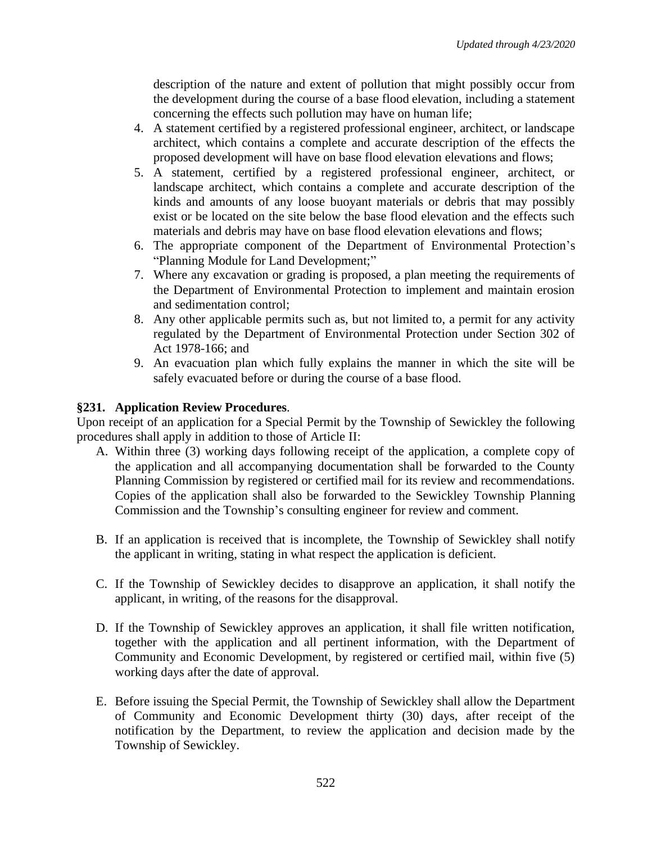description of the nature and extent of pollution that might possibly occur from the development during the course of a base flood elevation, including a statement concerning the effects such pollution may have on human life;

- 4. A statement certified by a registered professional engineer, architect, or landscape architect, which contains a complete and accurate description of the effects the proposed development will have on base flood elevation elevations and flows;
- 5. A statement, certified by a registered professional engineer, architect, or landscape architect, which contains a complete and accurate description of the kinds and amounts of any loose buoyant materials or debris that may possibly exist or be located on the site below the base flood elevation and the effects such materials and debris may have on base flood elevation elevations and flows;
- 6. The appropriate component of the Department of Environmental Protection's "Planning Module for Land Development;"
- 7. Where any excavation or grading is proposed, a plan meeting the requirements of the Department of Environmental Protection to implement and maintain erosion and sedimentation control;
- 8. Any other applicable permits such as, but not limited to, a permit for any activity regulated by the Department of Environmental Protection under Section 302 of Act 1978-166; and
- 9. An evacuation plan which fully explains the manner in which the site will be safely evacuated before or during the course of a base flood.

# **§231. Application Review Procedures**.

Upon receipt of an application for a Special Permit by the Township of Sewickley the following procedures shall apply in addition to those of Article II:

- A. Within three (3) working days following receipt of the application, a complete copy of the application and all accompanying documentation shall be forwarded to the County Planning Commission by registered or certified mail for its review and recommendations. Copies of the application shall also be forwarded to the Sewickley Township Planning Commission and the Township's consulting engineer for review and comment.
- B. If an application is received that is incomplete, the Township of Sewickley shall notify the applicant in writing, stating in what respect the application is deficient.
- C. If the Township of Sewickley decides to disapprove an application, it shall notify the applicant, in writing, of the reasons for the disapproval.
- D. If the Township of Sewickley approves an application, it shall file written notification, together with the application and all pertinent information, with the Department of Community and Economic Development, by registered or certified mail, within five (5) working days after the date of approval.
- E. Before issuing the Special Permit, the Township of Sewickley shall allow the Department of Community and Economic Development thirty (30) days, after receipt of the notification by the Department, to review the application and decision made by the Township of Sewickley.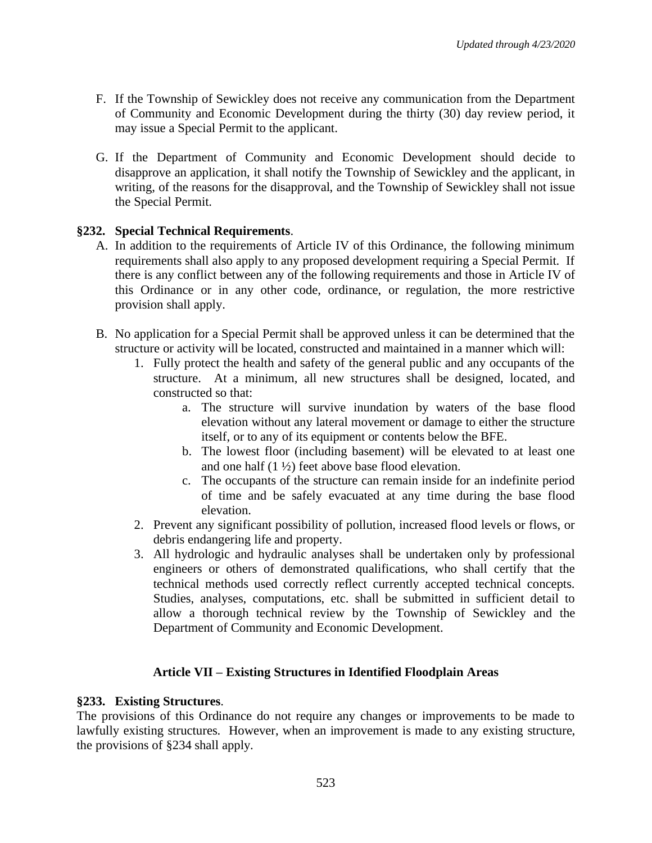- F. If the Township of Sewickley does not receive any communication from the Department of Community and Economic Development during the thirty (30) day review period, it may issue a Special Permit to the applicant.
- G. If the Department of Community and Economic Development should decide to disapprove an application, it shall notify the Township of Sewickley and the applicant, in writing, of the reasons for the disapproval, and the Township of Sewickley shall not issue the Special Permit.

# **§232. Special Technical Requirements**.

- A. In addition to the requirements of Article IV of this Ordinance, the following minimum requirements shall also apply to any proposed development requiring a Special Permit. If there is any conflict between any of the following requirements and those in Article IV of this Ordinance or in any other code, ordinance, or regulation, the more restrictive provision shall apply.
- B. No application for a Special Permit shall be approved unless it can be determined that the structure or activity will be located, constructed and maintained in a manner which will:
	- 1. Fully protect the health and safety of the general public and any occupants of the structure. At a minimum, all new structures shall be designed, located, and constructed so that:
		- a. The structure will survive inundation by waters of the base flood elevation without any lateral movement or damage to either the structure itself, or to any of its equipment or contents below the BFE.
		- b. The lowest floor (including basement) will be elevated to at least one and one half  $(1 \frac{1}{2})$  feet above base flood elevation.
		- c. The occupants of the structure can remain inside for an indefinite period of time and be safely evacuated at any time during the base flood elevation.
	- 2. Prevent any significant possibility of pollution, increased flood levels or flows, or debris endangering life and property.
	- 3. All hydrologic and hydraulic analyses shall be undertaken only by professional engineers or others of demonstrated qualifications, who shall certify that the technical methods used correctly reflect currently accepted technical concepts. Studies, analyses, computations, etc. shall be submitted in sufficient detail to allow a thorough technical review by the Township of Sewickley and the Department of Community and Economic Development.

# **Article VII – Existing Structures in Identified Floodplain Areas**

# **§233. Existing Structures**.

The provisions of this Ordinance do not require any changes or improvements to be made to lawfully existing structures. However, when an improvement is made to any existing structure, the provisions of §234 shall apply.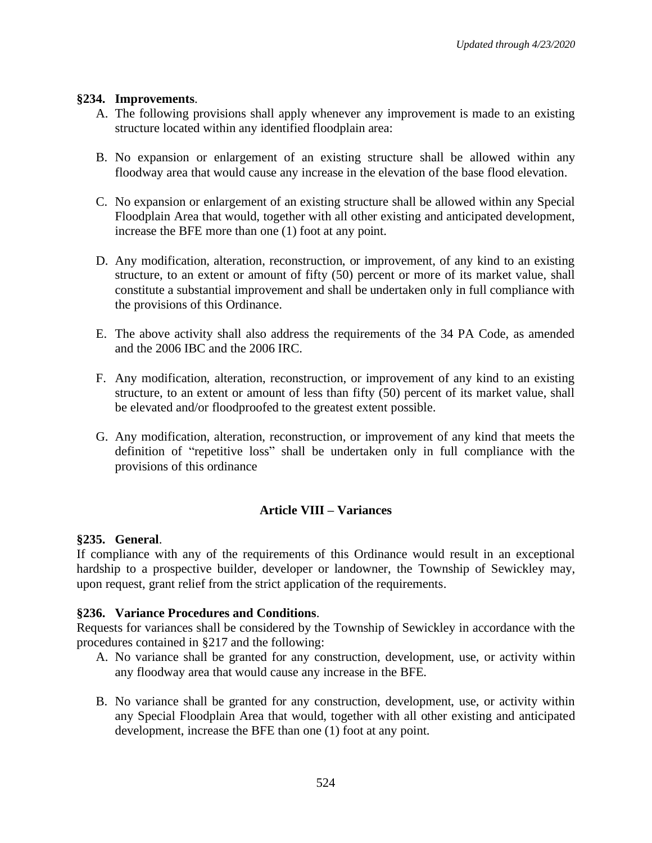#### **§234. Improvements**.

- A. The following provisions shall apply whenever any improvement is made to an existing structure located within any identified floodplain area:
- B. No expansion or enlargement of an existing structure shall be allowed within any floodway area that would cause any increase in the elevation of the base flood elevation.
- C. No expansion or enlargement of an existing structure shall be allowed within any Special Floodplain Area that would, together with all other existing and anticipated development, increase the BFE more than one (1) foot at any point.
- D. Any modification, alteration, reconstruction, or improvement, of any kind to an existing structure, to an extent or amount of fifty (50) percent or more of its market value, shall constitute a substantial improvement and shall be undertaken only in full compliance with the provisions of this Ordinance.
- E. The above activity shall also address the requirements of the 34 PA Code, as amended and the 2006 IBC and the 2006 IRC.
- F. Any modification, alteration, reconstruction, or improvement of any kind to an existing structure, to an extent or amount of less than fifty (50) percent of its market value, shall be elevated and/or floodproofed to the greatest extent possible.
- G. Any modification, alteration, reconstruction, or improvement of any kind that meets the definition of "repetitive loss" shall be undertaken only in full compliance with the provisions of this ordinance

# **Article VIII – Variances**

# **§235. General**.

If compliance with any of the requirements of this Ordinance would result in an exceptional hardship to a prospective builder, developer or landowner, the Township of Sewickley may, upon request, grant relief from the strict application of the requirements.

# **§236. Variance Procedures and Conditions**.

Requests for variances shall be considered by the Township of Sewickley in accordance with the procedures contained in §217 and the following:

- A. No variance shall be granted for any construction, development, use, or activity within any floodway area that would cause any increase in the BFE.
- B. No variance shall be granted for any construction, development, use, or activity within any Special Floodplain Area that would, together with all other existing and anticipated development, increase the BFE than one (1) foot at any point.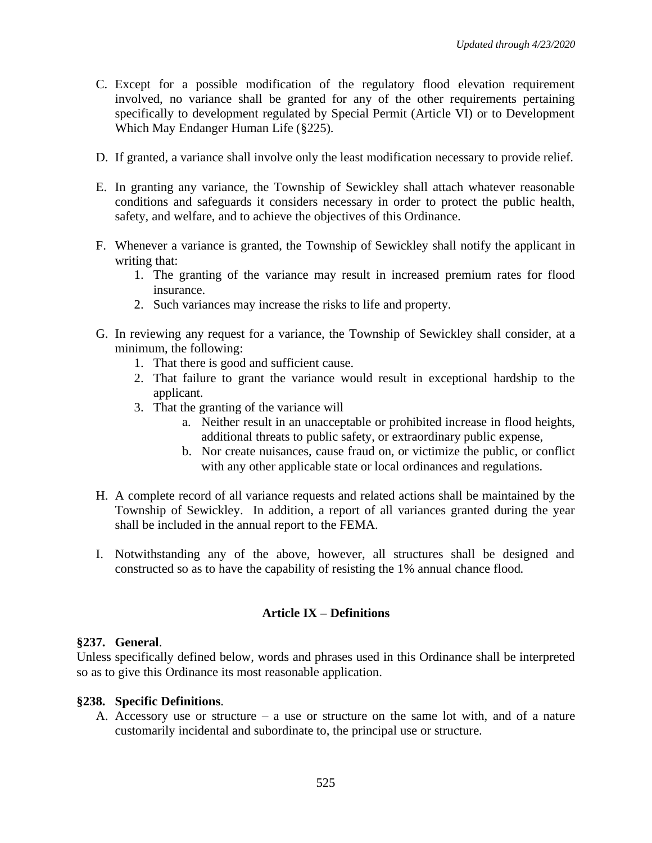- C. Except for a possible modification of the regulatory flood elevation requirement involved, no variance shall be granted for any of the other requirements pertaining specifically to development regulated by Special Permit (Article VI) or to Development Which May Endanger Human Life (§225).
- D. If granted, a variance shall involve only the least modification necessary to provide relief.
- E. In granting any variance, the Township of Sewickley shall attach whatever reasonable conditions and safeguards it considers necessary in order to protect the public health, safety, and welfare, and to achieve the objectives of this Ordinance.
- F. Whenever a variance is granted, the Township of Sewickley shall notify the applicant in writing that:
	- 1. The granting of the variance may result in increased premium rates for flood insurance.
	- 2. Such variances may increase the risks to life and property.
- G. In reviewing any request for a variance, the Township of Sewickley shall consider, at a minimum, the following:
	- 1. That there is good and sufficient cause.
	- 2. That failure to grant the variance would result in exceptional hardship to the applicant.
	- 3. That the granting of the variance will
		- a. Neither result in an unacceptable or prohibited increase in flood heights, additional threats to public safety, or extraordinary public expense,
		- b. Nor create nuisances, cause fraud on, or victimize the public, or conflict with any other applicable state or local ordinances and regulations.
- H. A complete record of all variance requests and related actions shall be maintained by the Township of Sewickley. In addition, a report of all variances granted during the year shall be included in the annual report to the FEMA.
- I. Notwithstanding any of the above, however, all structures shall be designed and constructed so as to have the capability of resisting the 1% annual chance flood.

# **Article IX – Definitions**

#### **§237. General**.

Unless specifically defined below, words and phrases used in this Ordinance shall be interpreted so as to give this Ordinance its most reasonable application.

#### **§238. Specific Definitions**.

A. Accessory use or structure – a use or structure on the same lot with, and of a nature customarily incidental and subordinate to, the principal use or structure.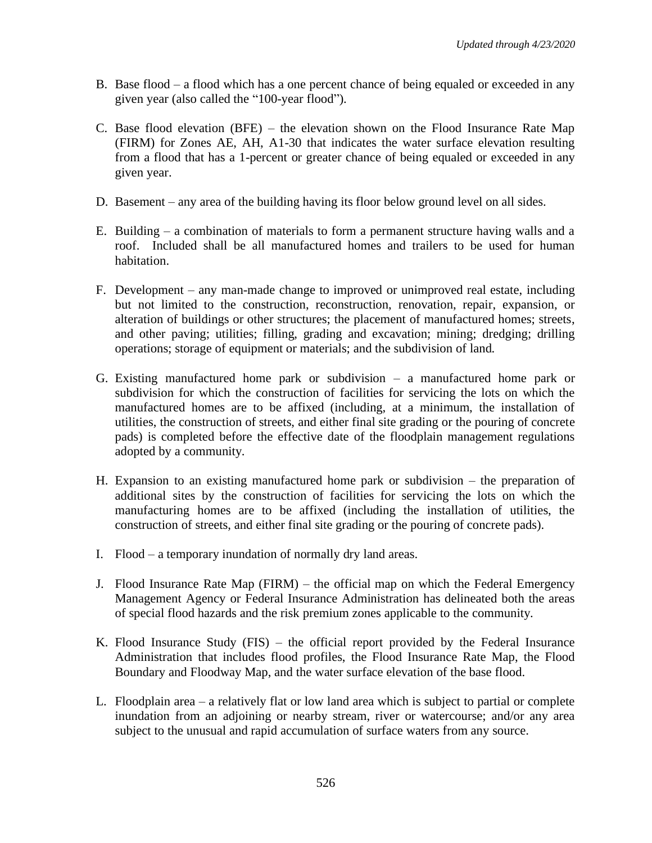- B. Base flood a flood which has a one percent chance of being equaled or exceeded in any given year (also called the "100-year flood").
- C. Base flood elevation (BFE) the elevation shown on the Flood Insurance Rate Map (FIRM) for Zones AE, AH, A1-30 that indicates the water surface elevation resulting from a flood that has a 1-percent or greater chance of being equaled or exceeded in any given year.
- D. Basement any area of the building having its floor below ground level on all sides.
- E. Building a combination of materials to form a permanent structure having walls and a roof. Included shall be all manufactured homes and trailers to be used for human habitation.
- F. Development any man-made change to improved or unimproved real estate, including but not limited to the construction, reconstruction, renovation, repair, expansion, or alteration of buildings or other structures; the placement of manufactured homes; streets, and other paving; utilities; filling, grading and excavation; mining; dredging; drilling operations; storage of equipment or materials; and the subdivision of land.
- G. Existing manufactured home park or subdivision a manufactured home park or subdivision for which the construction of facilities for servicing the lots on which the manufactured homes are to be affixed (including, at a minimum, the installation of utilities, the construction of streets, and either final site grading or the pouring of concrete pads) is completed before the effective date of the floodplain management regulations adopted by a community.
- H. Expansion to an existing manufactured home park or subdivision the preparation of additional sites by the construction of facilities for servicing the lots on which the manufacturing homes are to be affixed (including the installation of utilities, the construction of streets, and either final site grading or the pouring of concrete pads).
- I. Flood a temporary inundation of normally dry land areas.
- J. Flood Insurance Rate Map (FIRM) the official map on which the Federal Emergency Management Agency or Federal Insurance Administration has delineated both the areas of special flood hazards and the risk premium zones applicable to the community.
- K. Flood Insurance Study (FIS) the official report provided by the Federal Insurance Administration that includes flood profiles, the Flood Insurance Rate Map, the Flood Boundary and Floodway Map, and the water surface elevation of the base flood.
- L. Floodplain area a relatively flat or low land area which is subject to partial or complete inundation from an adjoining or nearby stream, river or watercourse; and/or any area subject to the unusual and rapid accumulation of surface waters from any source.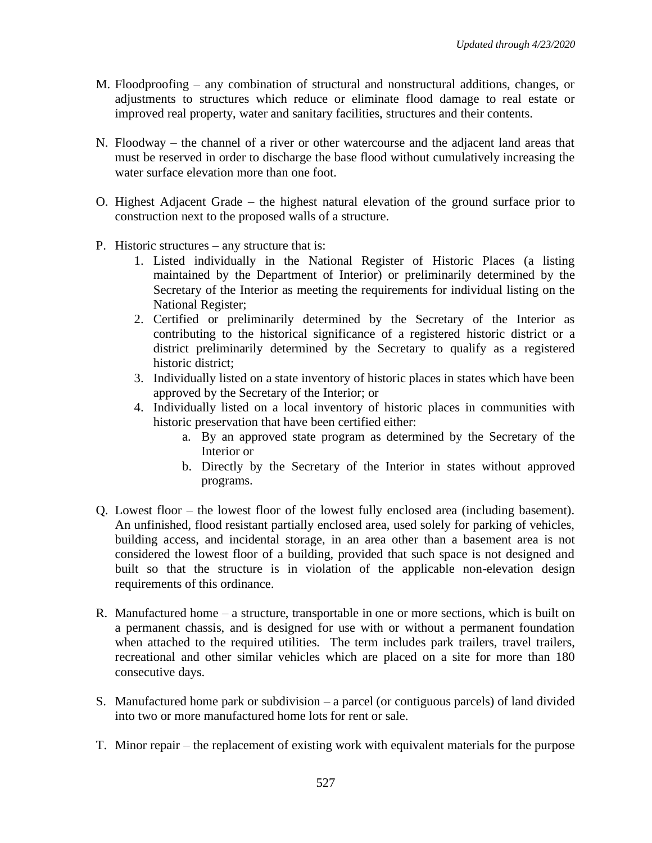- M. Floodproofing any combination of structural and nonstructural additions, changes, or adjustments to structures which reduce or eliminate flood damage to real estate or improved real property, water and sanitary facilities, structures and their contents.
- N. Floodway the channel of a river or other watercourse and the adjacent land areas that must be reserved in order to discharge the base flood without cumulatively increasing the water surface elevation more than one foot.
- O. Highest Adjacent Grade the highest natural elevation of the ground surface prior to construction next to the proposed walls of a structure.
- P. Historic structures any structure that is:
	- 1. Listed individually in the National Register of Historic Places (a listing maintained by the Department of Interior) or preliminarily determined by the Secretary of the Interior as meeting the requirements for individual listing on the National Register;
	- 2. Certified or preliminarily determined by the Secretary of the Interior as contributing to the historical significance of a registered historic district or a district preliminarily determined by the Secretary to qualify as a registered historic district;
	- 3. Individually listed on a state inventory of historic places in states which have been approved by the Secretary of the Interior; or
	- 4. Individually listed on a local inventory of historic places in communities with historic preservation that have been certified either:
		- a. By an approved state program as determined by the Secretary of the Interior or
		- b. Directly by the Secretary of the Interior in states without approved programs.
- Q. Lowest floor the lowest floor of the lowest fully enclosed area (including basement). An unfinished, flood resistant partially enclosed area, used solely for parking of vehicles, building access, and incidental storage, in an area other than a basement area is not considered the lowest floor of a building, provided that such space is not designed and built so that the structure is in violation of the applicable non-elevation design requirements of this ordinance.
- R. Manufactured home a structure, transportable in one or more sections, which is built on a permanent chassis, and is designed for use with or without a permanent foundation when attached to the required utilities. The term includes park trailers, travel trailers, recreational and other similar vehicles which are placed on a site for more than 180 consecutive days.
- S. Manufactured home park or subdivision a parcel (or contiguous parcels) of land divided into two or more manufactured home lots for rent or sale.
- T. Minor repair the replacement of existing work with equivalent materials for the purpose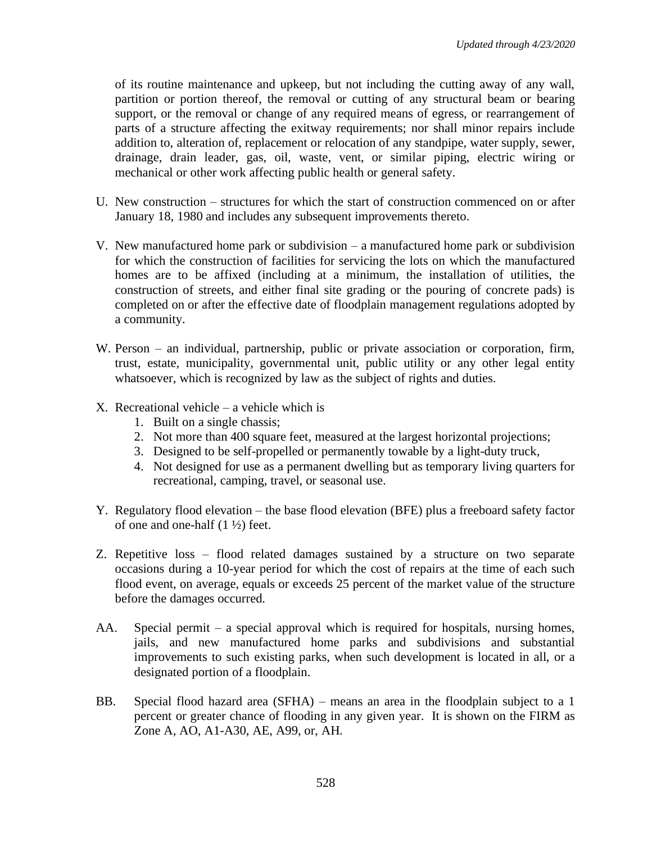of its routine maintenance and upkeep, but not including the cutting away of any wall, partition or portion thereof, the removal or cutting of any structural beam or bearing support, or the removal or change of any required means of egress, or rearrangement of parts of a structure affecting the exitway requirements; nor shall minor repairs include addition to, alteration of, replacement or relocation of any standpipe, water supply, sewer, drainage, drain leader, gas, oil, waste, vent, or similar piping, electric wiring or mechanical or other work affecting public health or general safety.

- U. New construction structures for which the start of construction commenced on or after January 18, 1980 and includes any subsequent improvements thereto.
- V. New manufactured home park or subdivision a manufactured home park or subdivision for which the construction of facilities for servicing the lots on which the manufactured homes are to be affixed (including at a minimum, the installation of utilities, the construction of streets, and either final site grading or the pouring of concrete pads) is completed on or after the effective date of floodplain management regulations adopted by a community.
- W. Person an individual, partnership, public or private association or corporation, firm, trust, estate, municipality, governmental unit, public utility or any other legal entity whatsoever, which is recognized by law as the subject of rights and duties.
- X. Recreational vehicle a vehicle which is
	- 1. Built on a single chassis;
	- 2. Not more than 400 square feet, measured at the largest horizontal projections;
	- 3. Designed to be self-propelled or permanently towable by a light-duty truck,
	- 4. Not designed for use as a permanent dwelling but as temporary living quarters for recreational, camping, travel, or seasonal use.
- Y. Regulatory flood elevation the base flood elevation (BFE) plus a freeboard safety factor of one and one-half  $(1 \frac{1}{2})$  feet.
- Z. Repetitive loss flood related damages sustained by a structure on two separate occasions during a 10-year period for which the cost of repairs at the time of each such flood event, on average, equals or exceeds 25 percent of the market value of the structure before the damages occurred.
- AA. Special permit a special approval which is required for hospitals, nursing homes, jails, and new manufactured home parks and subdivisions and substantial improvements to such existing parks, when such development is located in all, or a designated portion of a floodplain.
- BB. Special flood hazard area (SFHA) means an area in the floodplain subject to a 1 percent or greater chance of flooding in any given year. It is shown on the FIRM as Zone A, AO, A1-A30, AE, A99, or, AH.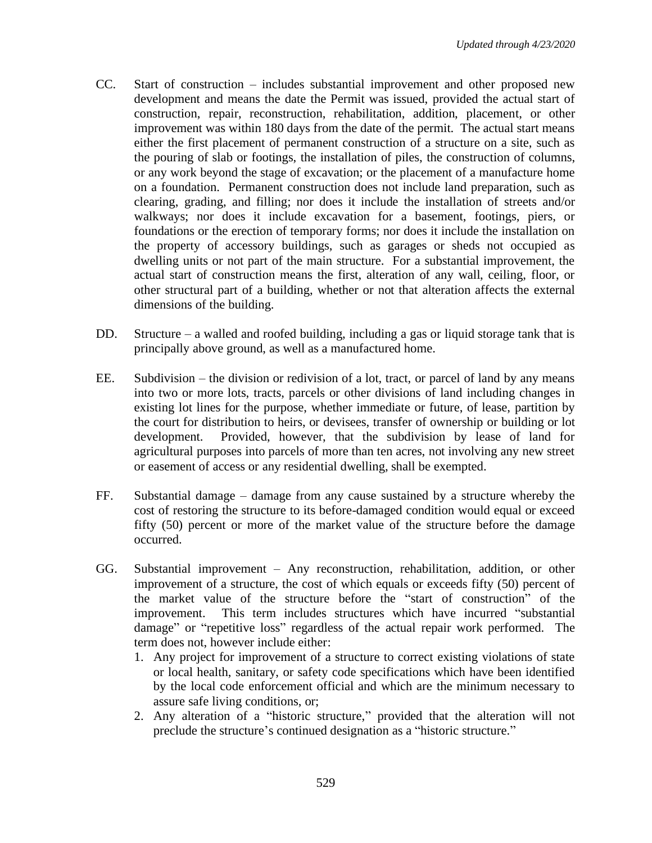- CC. Start of construction includes substantial improvement and other proposed new development and means the date the Permit was issued, provided the actual start of construction, repair, reconstruction, rehabilitation, addition, placement, or other improvement was within 180 days from the date of the permit. The actual start means either the first placement of permanent construction of a structure on a site, such as the pouring of slab or footings, the installation of piles, the construction of columns, or any work beyond the stage of excavation; or the placement of a manufacture home on a foundation. Permanent construction does not include land preparation, such as clearing, grading, and filling; nor does it include the installation of streets and/or walkways; nor does it include excavation for a basement, footings, piers, or foundations or the erection of temporary forms; nor does it include the installation on the property of accessory buildings, such as garages or sheds not occupied as dwelling units or not part of the main structure. For a substantial improvement, the actual start of construction means the first, alteration of any wall, ceiling, floor, or other structural part of a building, whether or not that alteration affects the external dimensions of the building.
- DD. Structure a walled and roofed building, including a gas or liquid storage tank that is principally above ground, as well as a manufactured home.
- EE. Subdivision the division or redivision of a lot, tract, or parcel of land by any means into two or more lots, tracts, parcels or other divisions of land including changes in existing lot lines for the purpose, whether immediate or future, of lease, partition by the court for distribution to heirs, or devisees, transfer of ownership or building or lot development. Provided, however, that the subdivision by lease of land for agricultural purposes into parcels of more than ten acres, not involving any new street or easement of access or any residential dwelling, shall be exempted.
- FF. Substantial damage damage from any cause sustained by a structure whereby the cost of restoring the structure to its before-damaged condition would equal or exceed fifty (50) percent or more of the market value of the structure before the damage occurred.
- GG. Substantial improvement Any reconstruction, rehabilitation, addition, or other improvement of a structure, the cost of which equals or exceeds fifty (50) percent of the market value of the structure before the "start of construction" of the improvement. This term includes structures which have incurred "substantial damage" or "repetitive loss" regardless of the actual repair work performed. The term does not, however include either:
	- 1. Any project for improvement of a structure to correct existing violations of state or local health, sanitary, or safety code specifications which have been identified by the local code enforcement official and which are the minimum necessary to assure safe living conditions, or;
	- 2. Any alteration of a "historic structure," provided that the alteration will not preclude the structure's continued designation as a "historic structure."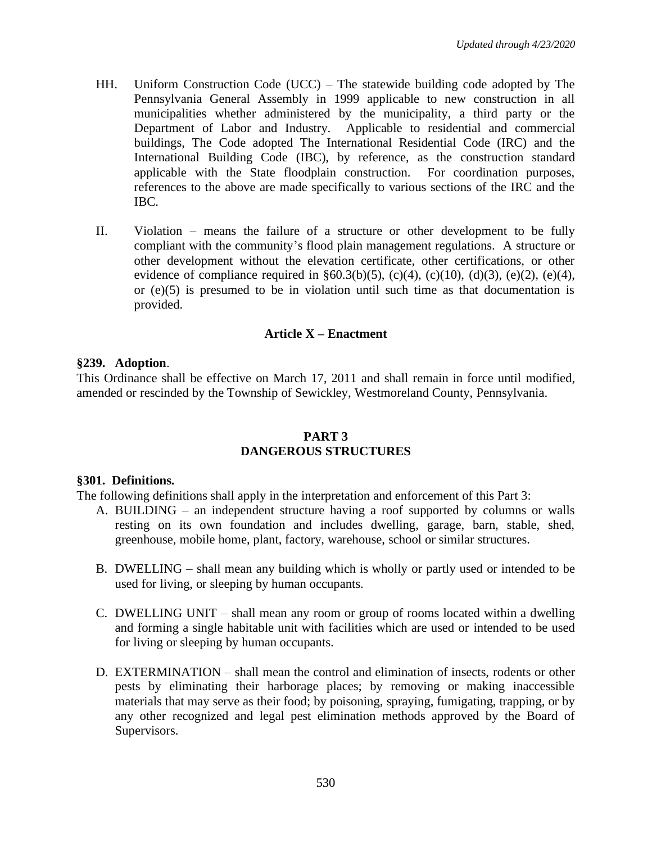- HH. Uniform Construction Code (UCC) The statewide building code adopted by The Pennsylvania General Assembly in 1999 applicable to new construction in all municipalities whether administered by the municipality, a third party or the Department of Labor and Industry. Applicable to residential and commercial buildings, The Code adopted The International Residential Code (IRC) and the International Building Code (IBC), by reference, as the construction standard applicable with the State floodplain construction. For coordination purposes, references to the above are made specifically to various sections of the IRC and the IBC.
- II. Violation means the failure of a structure or other development to be fully compliant with the community's flood plain management regulations. A structure or other development without the elevation certificate, other certifications, or other evidence of compliance required in §60.3(b)(5), (c)(4), (c)(10), (d)(3), (e)(2), (e)(4), or (e)(5) is presumed to be in violation until such time as that documentation is provided.

# **Article X – Enactment**

#### **§239. Adoption**.

This Ordinance shall be effective on March 17, 2011 and shall remain in force until modified, amended or rescinded by the Township of Sewickley, Westmoreland County, Pennsylvania.

#### **PART 3 DANGEROUS STRUCTURES**

#### **§301. Definitions.**

The following definitions shall apply in the interpretation and enforcement of this Part 3:

- A. BUILDING an independent structure having a roof supported by columns or walls resting on its own foundation and includes dwelling, garage, barn, stable, shed, greenhouse, mobile home, plant, factory, warehouse, school or similar structures.
- B. DWELLING shall mean any building which is wholly or partly used or intended to be used for living, or sleeping by human occupants.
- C. DWELLING UNIT shall mean any room or group of rooms located within a dwelling and forming a single habitable unit with facilities which are used or intended to be used for living or sleeping by human occupants.
- D. EXTERMINATION shall mean the control and elimination of insects, rodents or other pests by eliminating their harborage places; by removing or making inaccessible materials that may serve as their food; by poisoning, spraying, fumigating, trapping, or by any other recognized and legal pest elimination methods approved by the Board of Supervisors.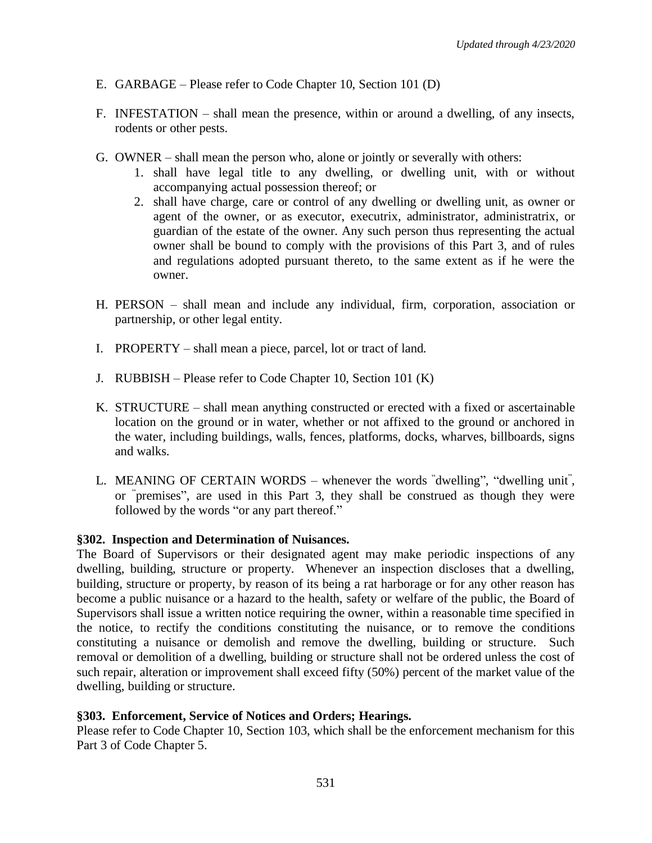- E. GARBAGE Please refer to Code Chapter 10, Section 101 (D)
- F. INFESTATION shall mean the presence, within or around a dwelling, of any insects, rodents or other pests.
- G. OWNER shall mean the person who, alone or jointly or severally with others:
	- 1. shall have legal title to any dwelling, or dwelling unit, with or without accompanying actual possession thereof; or
	- 2. shall have charge, care or control of any dwelling or dwelling unit, as owner or agent of the owner, or as executor, executrix, administrator, administratrix, or guardian of the estate of the owner. Any such person thus representing the actual owner shall be bound to comply with the provisions of this Part 3, and of rules and regulations adopted pursuant thereto, to the same extent as if he were the owner.
- H. PERSON shall mean and include any individual, firm, corporation, association or partnership, or other legal entity.
- I. PROPERTY shall mean a piece, parcel, lot or tract of land.
- J. RUBBISH Please refer to Code Chapter 10, Section 101 (K)
- K. STRUCTURE shall mean anything constructed or erected with a fixed or ascertainable location on the ground or in water, whether or not affixed to the ground or anchored in the water, including buildings, walls, fences, platforms, docks, wharves, billboards, signs and walks.
- L. MEANING OF CERTAIN WORDS whenever the words "dwelling", "dwelling unit", or " premises", are used in this Part 3, they shall be construed as though they were followed by the words "or any part thereof."

#### **§302. Inspection and Determination of Nuisances.**

The Board of Supervisors or their designated agent may make periodic inspections of any dwelling, building, structure or property. Whenever an inspection discloses that a dwelling, building, structure or property, by reason of its being a rat harborage or for any other reason has become a public nuisance or a hazard to the health, safety or welfare of the public, the Board of Supervisors shall issue a written notice requiring the owner, within a reasonable time specified in the notice, to rectify the conditions constituting the nuisance, or to remove the conditions constituting a nuisance or demolish and remove the dwelling, building or structure. Such removal or demolition of a dwelling, building or structure shall not be ordered unless the cost of such repair, alteration or improvement shall exceed fifty (50%) percent of the market value of the dwelling, building or structure.

#### **§303. Enforcement, Service of Notices and Orders; Hearings.**

Please refer to Code Chapter 10, Section 103, which shall be the enforcement mechanism for this Part 3 of Code Chapter 5.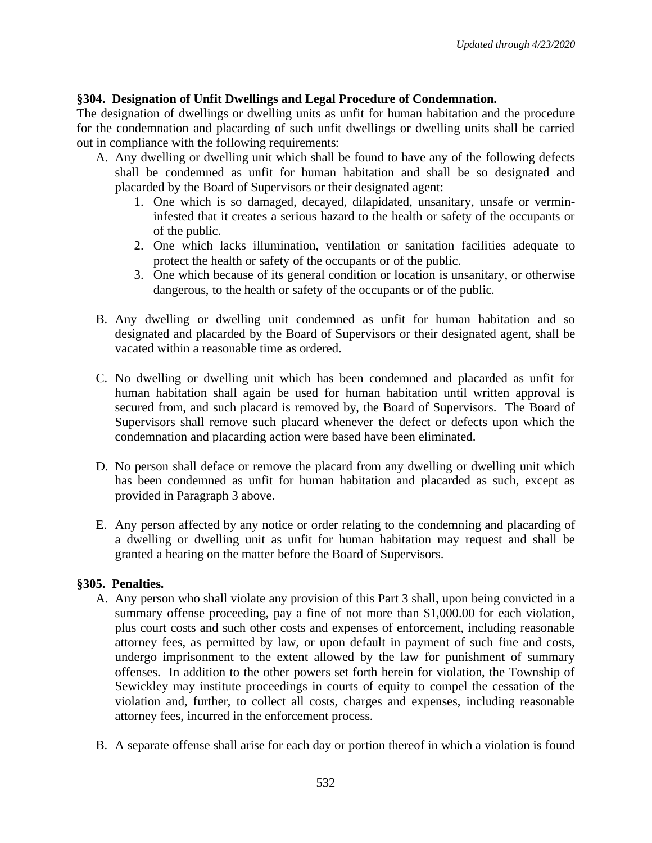# **§304. Designation of Unfit Dwellings and Legal Procedure of Condemnation.**

The designation of dwellings or dwelling units as unfit for human habitation and the procedure for the condemnation and placarding of such unfit dwellings or dwelling units shall be carried out in compliance with the following requirements:

- A. Any dwelling or dwelling unit which shall be found to have any of the following defects shall be condemned as unfit for human habitation and shall be so designated and placarded by the Board of Supervisors or their designated agent:
	- 1. One which is so damaged, decayed, dilapidated, unsanitary, unsafe or vermininfested that it creates a serious hazard to the health or safety of the occupants or of the public.
	- 2. One which lacks illumination, ventilation or sanitation facilities adequate to protect the health or safety of the occupants or of the public.
	- 3. One which because of its general condition or location is unsanitary, or otherwise dangerous, to the health or safety of the occupants or of the public.
- B. Any dwelling or dwelling unit condemned as unfit for human habitation and so designated and placarded by the Board of Supervisors or their designated agent, shall be vacated within a reasonable time as ordered.
- C. No dwelling or dwelling unit which has been condemned and placarded as unfit for human habitation shall again be used for human habitation until written approval is secured from, and such placard is removed by, the Board of Supervisors. The Board of Supervisors shall remove such placard whenever the defect or defects upon which the condemnation and placarding action were based have been eliminated.
- D. No person shall deface or remove the placard from any dwelling or dwelling unit which has been condemned as unfit for human habitation and placarded as such, except as provided in Paragraph 3 above.
- E. Any person affected by any notice or order relating to the condemning and placarding of a dwelling or dwelling unit as unfit for human habitation may request and shall be granted a hearing on the matter before the Board of Supervisors.

# **§305. Penalties.**

- A. Any person who shall violate any provision of this Part 3 shall, upon being convicted in a summary offense proceeding, pay a fine of not more than \$1,000.00 for each violation, plus court costs and such other costs and expenses of enforcement, including reasonable attorney fees, as permitted by law, or upon default in payment of such fine and costs, undergo imprisonment to the extent allowed by the law for punishment of summary offenses. In addition to the other powers set forth herein for violation, the Township of Sewickley may institute proceedings in courts of equity to compel the cessation of the violation and, further, to collect all costs, charges and expenses, including reasonable attorney fees, incurred in the enforcement process.
- B. A separate offense shall arise for each day or portion thereof in which a violation is found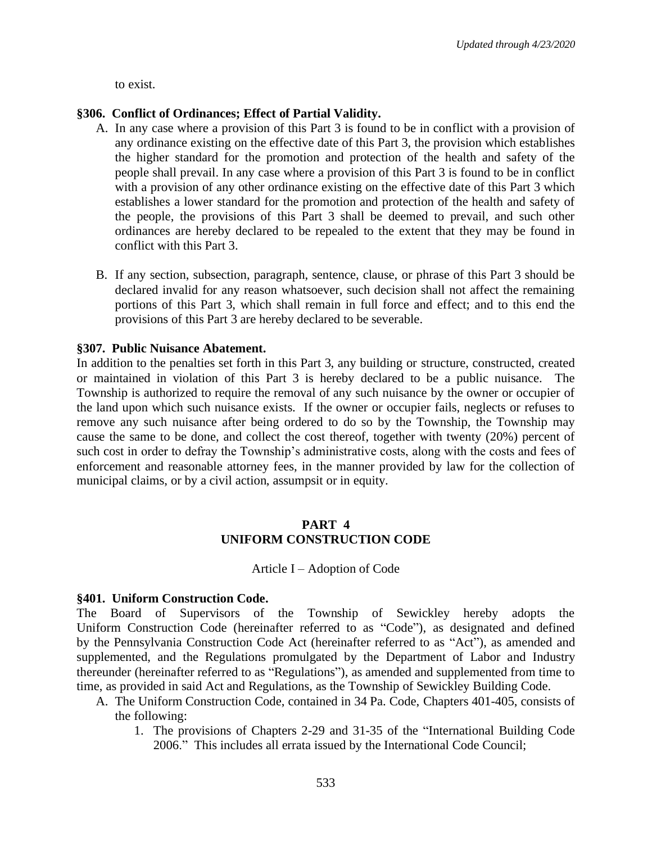to exist.

#### **§306. Conflict of Ordinances; Effect of Partial Validity.**

- A. In any case where a provision of this Part 3 is found to be in conflict with a provision of any ordinance existing on the effective date of this Part 3, the provision which establishes the higher standard for the promotion and protection of the health and safety of the people shall prevail. In any case where a provision of this Part 3 is found to be in conflict with a provision of any other ordinance existing on the effective date of this Part 3 which establishes a lower standard for the promotion and protection of the health and safety of the people, the provisions of this Part 3 shall be deemed to prevail, and such other ordinances are hereby declared to be repealed to the extent that they may be found in conflict with this Part 3.
- B. If any section, subsection, paragraph, sentence, clause, or phrase of this Part 3 should be declared invalid for any reason whatsoever, such decision shall not affect the remaining portions of this Part 3, which shall remain in full force and effect; and to this end the provisions of this Part 3 are hereby declared to be severable.

#### **§307. Public Nuisance Abatement.**

In addition to the penalties set forth in this Part 3, any building or structure, constructed, created or maintained in violation of this Part 3 is hereby declared to be a public nuisance. The Township is authorized to require the removal of any such nuisance by the owner or occupier of the land upon which such nuisance exists. If the owner or occupier fails, neglects or refuses to remove any such nuisance after being ordered to do so by the Township, the Township may cause the same to be done, and collect the cost thereof, together with twenty (20%) percent of such cost in order to defray the Township's administrative costs, along with the costs and fees of enforcement and reasonable attorney fees, in the manner provided by law for the collection of municipal claims, or by a civil action, assumpsit or in equity.

#### **PART 4 UNIFORM CONSTRUCTION CODE**

#### Article I – Adoption of Code

#### **§401. Uniform Construction Code.**

The Board of Supervisors of the Township of Sewickley hereby adopts the Uniform Construction Code (hereinafter referred to as "Code"), as designated and defined by the Pennsylvania Construction Code Act (hereinafter referred to as "Act"), as amended and supplemented, and the Regulations promulgated by the Department of Labor and Industry thereunder (hereinafter referred to as "Regulations"), as amended and supplemented from time to time, as provided in said Act and Regulations, as the Township of Sewickley Building Code.

- A. The Uniform Construction Code, contained in 34 Pa. Code, Chapters 401-405, consists of the following:
	- 1. The provisions of Chapters 2-29 and 31-35 of the "International Building Code 2006." This includes all errata issued by the International Code Council;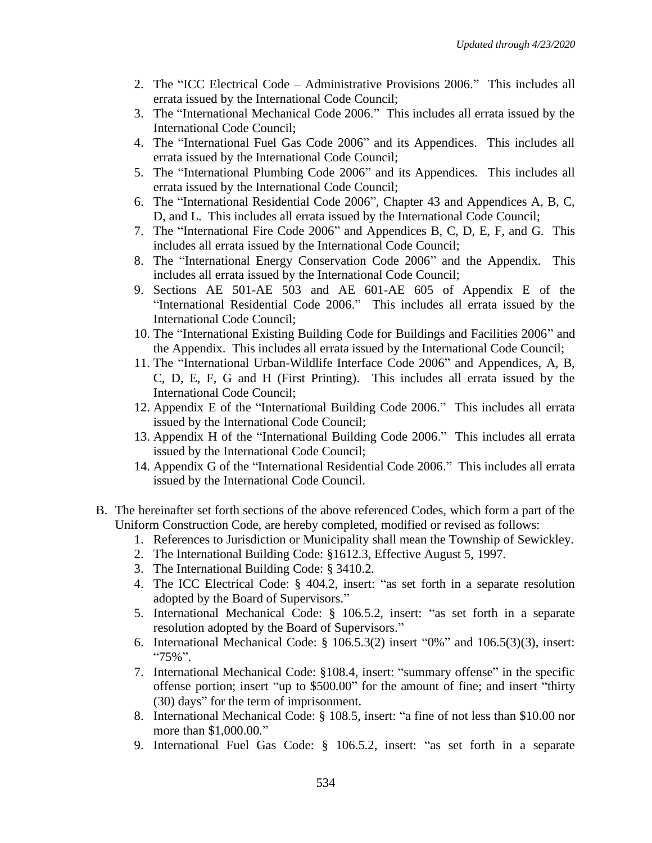- 2. The "ICC Electrical Code Administrative Provisions 2006." This includes all errata issued by the International Code Council;
- 3. The "International Mechanical Code 2006." This includes all errata issued by the International Code Council;
- 4. The "International Fuel Gas Code 2006" and its Appendices. This includes all errata issued by the International Code Council;
- 5. The "International Plumbing Code 2006" and its Appendices. This includes all errata issued by the International Code Council;
- 6. The "International Residential Code 2006", Chapter 43 and Appendices A, B, C, D, and L. This includes all errata issued by the International Code Council;
- 7. The "International Fire Code 2006" and Appendices B, C, D, E, F, and G. This includes all errata issued by the International Code Council;
- 8. The "International Energy Conservation Code 2006" and the Appendix. This includes all errata issued by the International Code Council;
- 9. Sections AE 501-AE 503 and AE 601-AE 605 of Appendix E of the "International Residential Code 2006." This includes all errata issued by the International Code Council;
- 10. The "International Existing Building Code for Buildings and Facilities 2006" and the Appendix. This includes all errata issued by the International Code Council;
- 11. The "International Urban-Wildlife Interface Code 2006" and Appendices, A, B, C, D, E, F, G and H (First Printing). This includes all errata issued by the International Code Council;
- 12. Appendix E of the "International Building Code 2006." This includes all errata issued by the International Code Council;
- 13. Appendix H of the "International Building Code 2006." This includes all errata issued by the International Code Council;
- 14. Appendix G of the "International Residential Code 2006." This includes all errata issued by the International Code Council.
- B. The hereinafter set forth sections of the above referenced Codes, which form a part of the Uniform Construction Code, are hereby completed, modified or revised as follows:
	- 1. References to Jurisdiction or Municipality shall mean the Township of Sewickley.
	- 2. The International Building Code: §1612.3, Effective August 5, 1997.
	- 3. The International Building Code: § 3410.2.
	- 4. The ICC Electrical Code: § 404.2, insert: "as set forth in a separate resolution adopted by the Board of Supervisors."
	- 5. International Mechanical Code: § 106.5.2, insert: "as set forth in a separate resolution adopted by the Board of Supervisors."
	- 6. International Mechanical Code: § 106.5.3(2) insert "0%" and 106.5(3)(3), insert: "75%".
	- 7. International Mechanical Code: §108.4, insert: "summary offense" in the specific offense portion; insert "up to \$500.00" for the amount of fine; and insert "thirty (30) days" for the term of imprisonment.
	- 8. International Mechanical Code: § 108.5, insert: "a fine of not less than \$10.00 nor more than \$1,000.00."
	- 9. International Fuel Gas Code: § 106.5.2, insert: "as set forth in a separate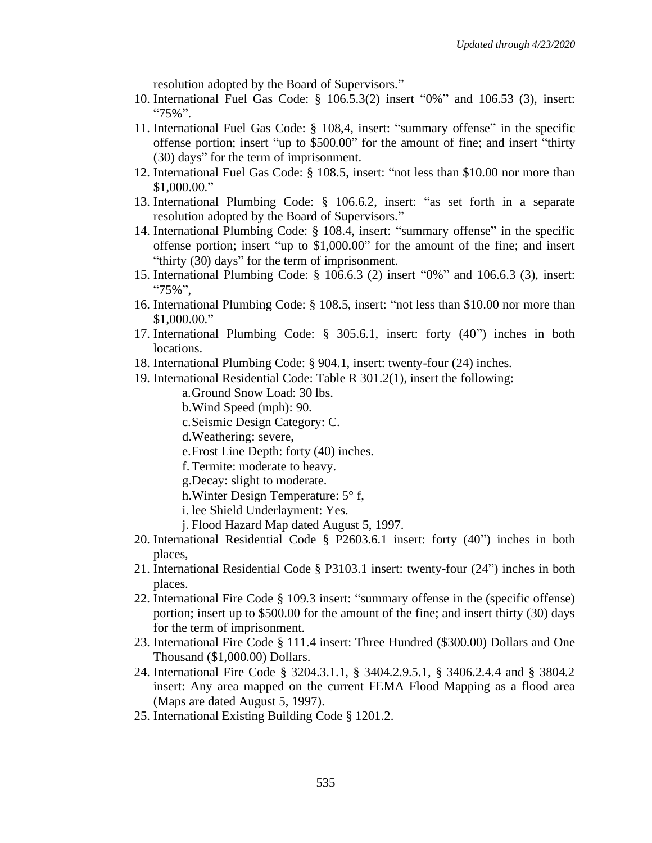resolution adopted by the Board of Supervisors."

- 10. International Fuel Gas Code: § 106.5.3(2) insert "0%" and 106.53 (3), insert: "75%".
- 11. International Fuel Gas Code: § 108,4, insert: "summary offense" in the specific offense portion; insert "up to \$500.00" for the amount of fine; and insert "thirty (30) days" for the term of imprisonment.
- 12. International Fuel Gas Code: § 108.5, insert: "not less than \$10.00 nor more than \$1,000.00."
- 13. International Plumbing Code: § 106.6.2, insert: "as set forth in a separate resolution adopted by the Board of Supervisors."
- 14. International Plumbing Code: § 108.4, insert: "summary offense" in the specific offense portion; insert "up to \$1,000.00" for the amount of the fine; and insert "thirty (30) days" for the term of imprisonment.
- 15. International Plumbing Code: § 106.6.3 (2) insert "0%" and 106.6.3 (3), insert: "75%",
- 16. International Plumbing Code: § 108.5, insert: "not less than \$10.00 nor more than \$1,000.00."
- 17. International Plumbing Code: § 305.6.1, insert: forty (40") inches in both locations.
- 18. International Plumbing Code: § 904.1, insert: twenty-four (24) inches.
- 19. International Residential Code: Table R 301.2(1), insert the following: a.Ground Snow Load: 30 lbs.
	- b.Wind Speed (mph): 90.
	- c.Seismic Design Category: C.

d.Weathering: severe,

- e.Frost Line Depth: forty (40) inches.
- f.Termite: moderate to heavy.
- g.Decay: slight to moderate.
- h.Winter Design Temperature: 5° f,
- i. lee Shield Underlayment: Yes.
- j. Flood Hazard Map dated August 5, 1997.
- 20. International Residential Code § P2603.6.1 insert: forty (40") inches in both places,
- 21. International Residential Code § P3103.1 insert: twenty-four (24") inches in both places.
- 22. International Fire Code § 109.3 insert: "summary offense in the (specific offense) portion; insert up to \$500.00 for the amount of the fine; and insert thirty (30) days for the term of imprisonment.
- 23. International Fire Code § 111.4 insert: Three Hundred (\$300.00) Dollars and One Thousand (\$1,000.00) Dollars.
- 24. International Fire Code § 3204.3.1.1, § 3404.2.9.5.1, § 3406.2.4.4 and § 3804.2 insert: Any area mapped on the current FEMA Flood Mapping as a flood area (Maps are dated August 5, 1997).
- 25. International Existing Building Code § 1201.2.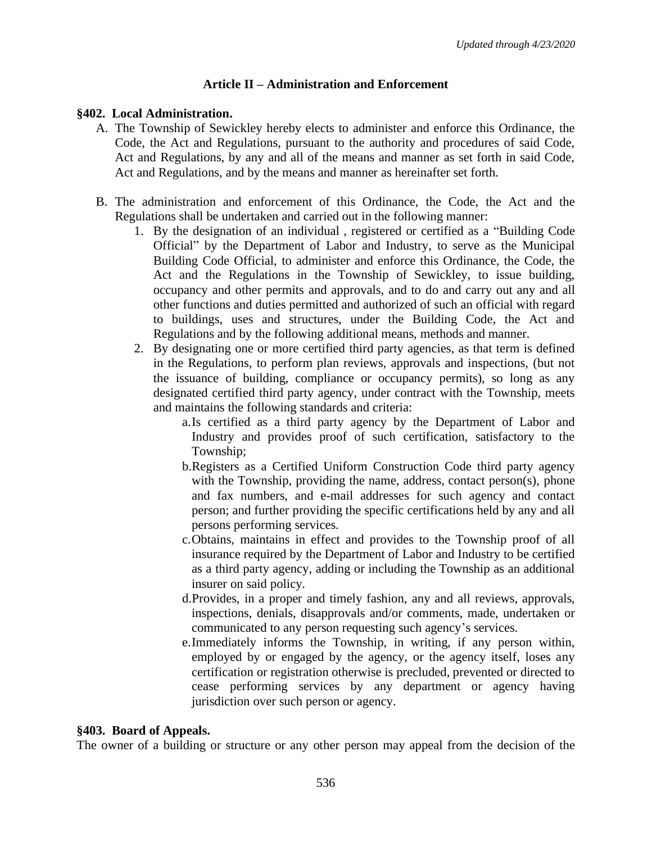#### **Article II – Administration and Enforcement**

#### **§402. Local Administration.**

- A. The Township of Sewickley hereby elects to administer and enforce this Ordinance, the Code, the Act and Regulations, pursuant to the authority and procedures of said Code, Act and Regulations, by any and all of the means and manner as set forth in said Code, Act and Regulations, and by the means and manner as hereinafter set forth.
- B. The administration and enforcement of this Ordinance, the Code, the Act and the Regulations shall be undertaken and carried out in the following manner:
	- 1. By the designation of an individual , registered or certified as a "Building Code Official" by the Department of Labor and Industry, to serve as the Municipal Building Code Official, to administer and enforce this Ordinance, the Code, the Act and the Regulations in the Township of Sewickley, to issue building, occupancy and other permits and approvals, and to do and carry out any and all other functions and duties permitted and authorized of such an official with regard to buildings, uses and structures, under the Building Code, the Act and Regulations and by the following additional means, methods and manner.
	- 2. By designating one or more certified third party agencies, as that term is defined in the Regulations, to perform plan reviews, approvals and inspections, (but not the issuance of building, compliance or occupancy permits), so long as any designated certified third party agency, under contract with the Township, meets and maintains the following standards and criteria:
		- a.Is certified as a third party agency by the Department of Labor and Industry and provides proof of such certification, satisfactory to the Township;
		- b.Registers as a Certified Uniform Construction Code third party agency with the Township, providing the name, address, contact person(s), phone and fax numbers, and e-mail addresses for such agency and contact person; and further providing the specific certifications held by any and all persons performing services.
		- c.Obtains, maintains in effect and provides to the Township proof of all insurance required by the Department of Labor and Industry to be certified as a third party agency, adding or including the Township as an additional insurer on said policy.
		- d.Provides, in a proper and timely fashion, any and all reviews, approvals, inspections, denials, disapprovals and/or comments, made, undertaken or communicated to any person requesting such agency's services.
		- e.Immediately informs the Township, in writing, if any person within, employed by or engaged by the agency, or the agency itself, loses any certification or registration otherwise is precluded, prevented or directed to cease performing services by any department or agency having jurisdiction over such person or agency.

#### **§403. Board of Appeals.**

The owner of a building or structure or any other person may appeal from the decision of the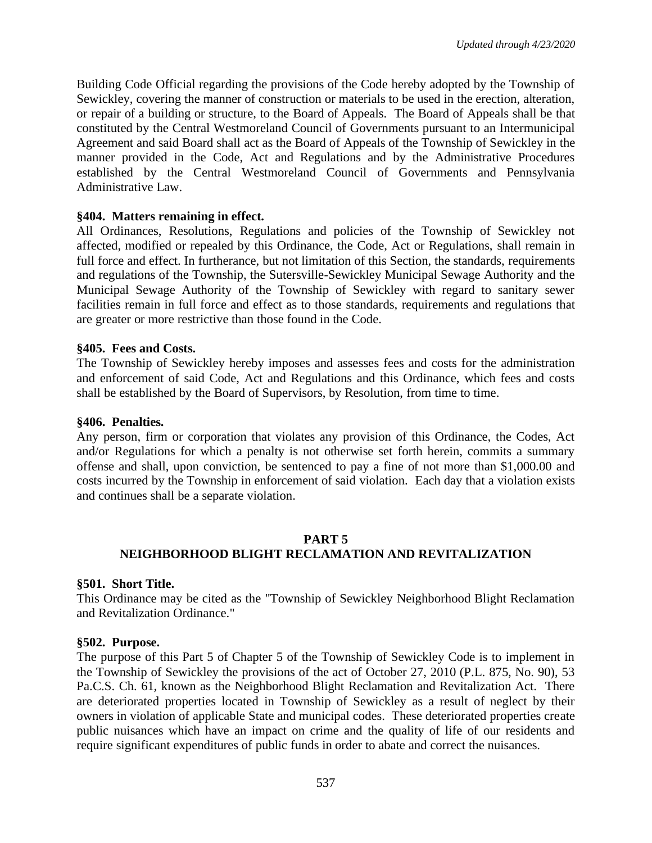Building Code Official regarding the provisions of the Code hereby adopted by the Township of Sewickley, covering the manner of construction or materials to be used in the erection, alteration, or repair of a building or structure, to the Board of Appeals. The Board of Appeals shall be that constituted by the Central Westmoreland Council of Governments pursuant to an Intermunicipal Agreement and said Board shall act as the Board of Appeals of the Township of Sewickley in the manner provided in the Code, Act and Regulations and by the Administrative Procedures established by the Central Westmoreland Council of Governments and Pennsylvania Administrative Law.

#### **§404. Matters remaining in effect.**

All Ordinances, Resolutions, Regulations and policies of the Township of Sewickley not affected, modified or repealed by this Ordinance, the Code, Act or Regulations, shall remain in full force and effect. In furtherance, but not limitation of this Section, the standards, requirements and regulations of the Township, the Sutersville-Sewickley Municipal Sewage Authority and the Municipal Sewage Authority of the Township of Sewickley with regard to sanitary sewer facilities remain in full force and effect as to those standards, requirements and regulations that are greater or more restrictive than those found in the Code.

#### **§405. Fees and Costs.**

The Township of Sewickley hereby imposes and assesses fees and costs for the administration and enforcement of said Code, Act and Regulations and this Ordinance, which fees and costs shall be established by the Board of Supervisors, by Resolution, from time to time.

#### **§406. Penalties.**

Any person, firm or corporation that violates any provision of this Ordinance, the Codes, Act and/or Regulations for which a penalty is not otherwise set forth herein, commits a summary offense and shall, upon conviction, be sentenced to pay a fine of not more than \$1,000.00 and costs incurred by the Township in enforcement of said violation. Each day that a violation exists and continues shall be a separate violation.

#### **PART 5 NEIGHBORHOOD BLIGHT RECLAMATION AND REVITALIZATION**

#### **§501. Short Title.**

This Ordinance may be cited as the "Township of Sewickley Neighborhood Blight Reclamation and Revitalization Ordinance."

#### **§502. Purpose.**

The purpose of this Part 5 of Chapter 5 of the Township of Sewickley Code is to implement in the Township of Sewickley the provisions of the act of October 27, 2010 (P.L. 875, No. 90), 53 Pa.C.S. Ch. 61*,* known as the Neighborhood Blight Reclamation and Revitalization Act. There are deteriorated properties located in Township of Sewickley as a result of neglect by their owners in violation of applicable State and municipal codes. These deteriorated properties create public nuisances which have an impact on crime and the quality of life of our residents and require significant expenditures of public funds in order to abate and correct the nuisances.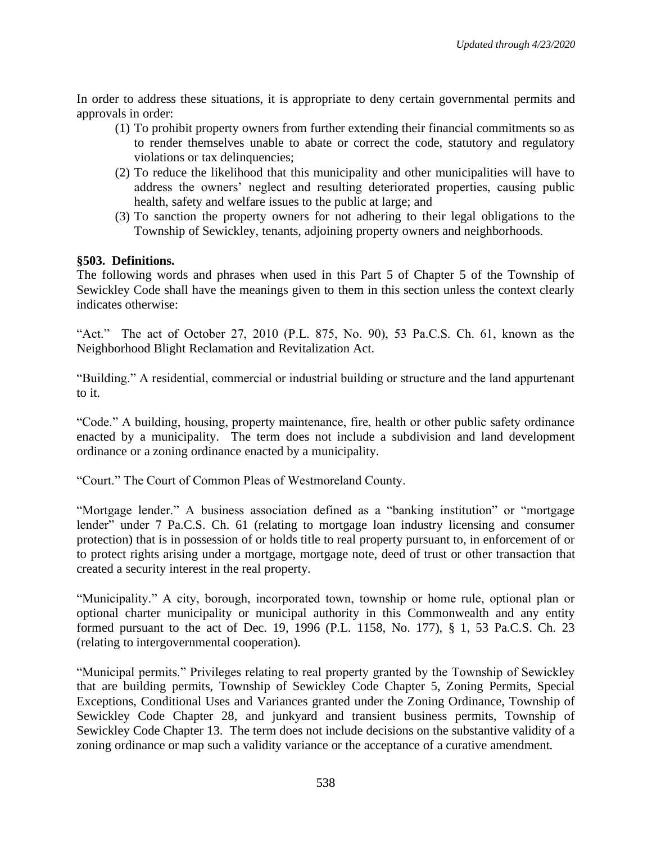In order to address these situations, it is appropriate to deny certain governmental permits and approvals in order:

- (1) To prohibit property owners from further extending their financial commitments so as to render themselves unable to abate or correct the code, statutory and regulatory violations or tax delinquencies;
- (2) To reduce the likelihood that this municipality and other municipalities will have to address the owners' neglect and resulting deteriorated properties, causing public health, safety and welfare issues to the public at large; and
- (3) To sanction the property owners for not adhering to their legal obligations to the Township of Sewickley, tenants, adjoining property owners and neighborhoods.

#### **§503. Definitions.**

The following words and phrases when used in this Part 5 of Chapter 5 of the Township of Sewickley Code shall have the meanings given to them in this section unless the context clearly indicates otherwise:

"Act." The act of October 27, 2010 (P.L. 875, No. 90), 53 Pa.C.S. Ch. 61, known as the Neighborhood Blight Reclamation and Revitalization Act.

"Building." A residential, commercial or industrial building or structure and the land appurtenant to it.

"Code." A building, housing, property maintenance, fire, health or other public safety ordinance enacted by a municipality. The term does not include a subdivision and land development ordinance or a zoning ordinance enacted by a municipality.

"Court." The Court of Common Pleas of Westmoreland County.

"Mortgage lender." A business association defined as a "banking institution" or "mortgage lender" under 7 Pa.C.S. Ch. 61 (relating to mortgage loan industry licensing and consumer protection) that is in possession of or holds title to real property pursuant to, in enforcement of or to protect rights arising under a mortgage, mortgage note, deed of trust or other transaction that created a security interest in the real property.

"Municipality." A city, borough, incorporated town, township or home rule, optional plan or optional charter municipality or municipal authority in this Commonwealth and any entity formed pursuant to the act of Dec. 19, 1996 (P.L. 1158, No. 177), § 1, 53 Pa.C.S. Ch. 23 (relating to intergovernmental cooperation).

"Municipal permits." Privileges relating to real property granted by the Township of Sewickley that are building permits, Township of Sewickley Code Chapter 5, Zoning Permits, Special Exceptions, Conditional Uses and Variances granted under the Zoning Ordinance, Township of Sewickley Code Chapter 28, and junkyard and transient business permits, Township of Sewickley Code Chapter 13. The term does not include decisions on the substantive validity of a zoning ordinance or map such a validity variance or the acceptance of a curative amendment.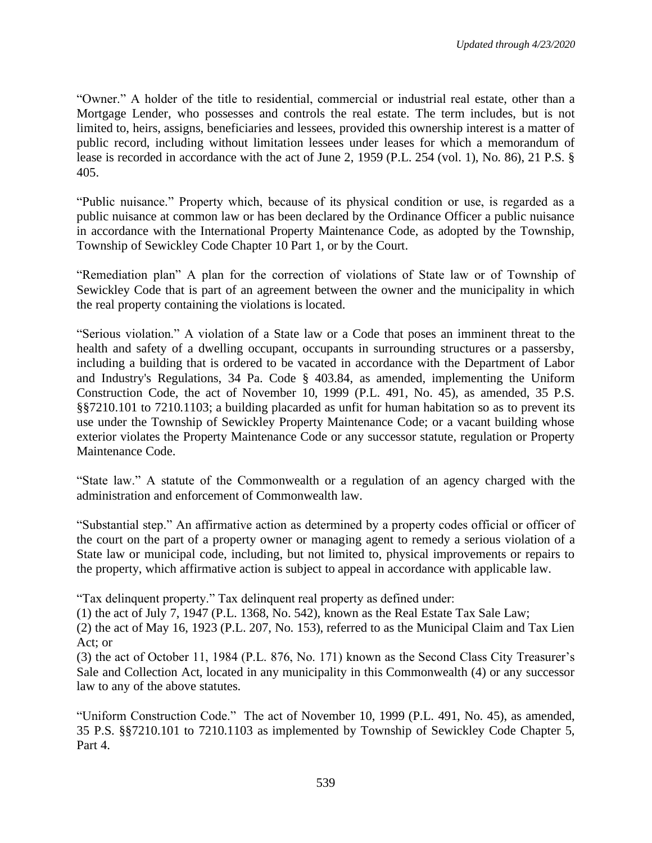"Owner." A holder of the title to residential, commercial or industrial real estate, other than a Mortgage Lender, who possesses and controls the real estate. The term includes, but is not limited to, heirs, assigns, beneficiaries and lessees, provided this ownership interest is a matter of public record, including without limitation lessees under leases for which a memorandum of lease is recorded in accordance with the act of June 2, 1959 (P.L. 254 (vol. 1), No. 86), 21 P.S. § 405.

"Public nuisance." Property which, because of its physical condition or use, is regarded as a public nuisance at common law or has been declared by the Ordinance Officer a public nuisance in accordance with the International Property Maintenance Code, as adopted by the Township, Township of Sewickley Code Chapter 10 Part 1, or by the Court.

"Remediation plan" A plan for the correction of violations of State law or of Township of Sewickley Code that is part of an agreement between the owner and the municipality in which the real property containing the violations is located.

"Serious violation." A violation of a State law or a Code that poses an imminent threat to the health and safety of a dwelling occupant, occupants in surrounding structures or a passersby, including a building that is ordered to be vacated in accordance with the Department of Labor and Industry's Regulations, 34 Pa. Code § 403.84, as amended, implementing the Uniform Construction Code, the act of November 10, 1999 (P.L. 491, No. 45), as amended, 35 P.S. §§7210.101 to 7210.1103; a building placarded as unfit for human habitation so as to prevent its use under the Township of Sewickley Property Maintenance Code; or a vacant building whose exterior violates the Property Maintenance Code or any successor statute, regulation or Property Maintenance Code.

"State law." A statute of the Commonwealth or a regulation of an agency charged with the administration and enforcement of Commonwealth law.

"Substantial step." An affirmative action as determined by a property codes official or officer of the court on the part of a property owner or managing agent to remedy a serious violation of a State law or municipal code, including, but not limited to, physical improvements or repairs to the property, which affirmative action is subject to appeal in accordance with applicable law.

"Tax delinquent property." Tax delinquent real property as defined under:

(1) the act of July 7, 1947 (P.L. 1368, No. 542), known as the Real Estate Tax Sale Law;

(2) the act of May 16, 1923 (P.L. 207, No. 153), referred to as the Municipal Claim and Tax Lien Act; or

(3) the act of October 11, 1984 (P.L. 876, No. 171) known as the Second Class City Treasurer's Sale and Collection Act, located in any municipality in this Commonwealth (4) or any successor law to any of the above statutes.

"Uniform Construction Code." The act of November 10, 1999 (P.L. 491, No. 45), as amended, 35 P.S. §§7210.101 to 7210.1103 as implemented by Township of Sewickley Code Chapter 5, Part 4.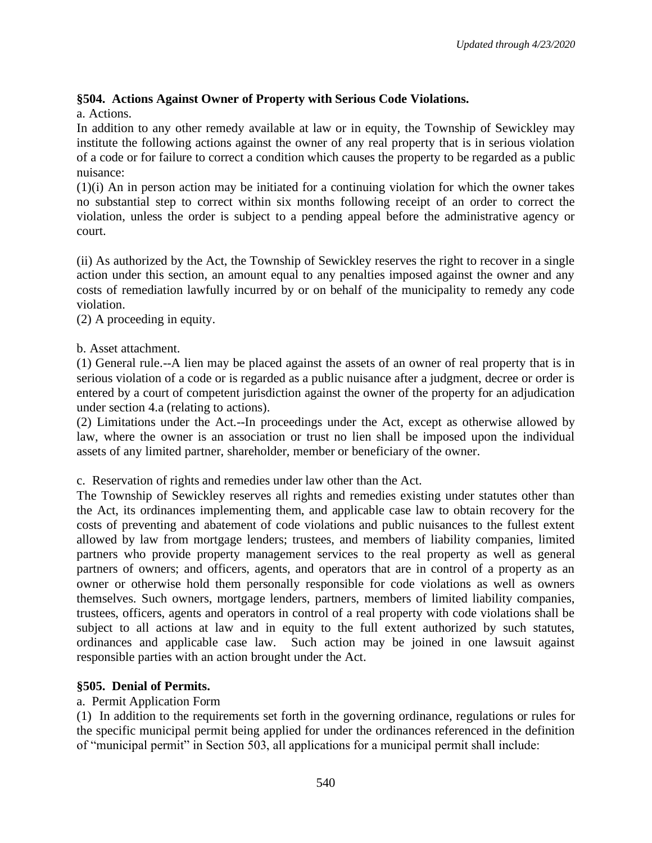# **§504. Actions Against Owner of Property with Serious Code Violations.**

a. Actions.

In addition to any other remedy available at law or in equity, the Township of Sewickley may institute the following actions against the owner of any real property that is in serious violation of a code or for failure to correct a condition which causes the property to be regarded as a public nuisance:

(1)(i) An in person action may be initiated for a continuing violation for which the owner takes no substantial step to correct within six months following receipt of an order to correct the violation, unless the order is subject to a pending appeal before the administrative agency or court.

(ii) As authorized by the Act, the Township of Sewickley reserves the right to recover in a single action under this section, an amount equal to any penalties imposed against the owner and any costs of remediation lawfully incurred by or on behalf of the municipality to remedy any code violation.

(2) A proceeding in equity.

#### b. Asset attachment.

(1) General rule.--A lien may be placed against the assets of an owner of real property that is in serious violation of a code or is regarded as a public nuisance after a judgment, decree or order is entered by a court of competent jurisdiction against the owner of the property for an adjudication under section 4.a (relating to actions).

(2) Limitations under the Act.--In proceedings under the Act, except as otherwise allowed by law, where the owner is an association or trust no lien shall be imposed upon the individual assets of any limited partner, shareholder, member or beneficiary of the owner.

c. Reservation of rights and remedies under law other than the Act.

The Township of Sewickley reserves all rights and remedies existing under statutes other than the Act, its ordinances implementing them, and applicable case law to obtain recovery for the costs of preventing and abatement of code violations and public nuisances to the fullest extent allowed by law from mortgage lenders; trustees, and members of liability companies, limited partners who provide property management services to the real property as well as general partners of owners; and officers, agents, and operators that are in control of a property as an owner or otherwise hold them personally responsible for code violations as well as owners themselves. Such owners, mortgage lenders, partners, members of limited liability companies, trustees, officers, agents and operators in control of a real property with code violations shall be subject to all actions at law and in equity to the full extent authorized by such statutes, ordinances and applicable case law. Such action may be joined in one lawsuit against responsible parties with an action brought under the Act.

# **§505. Denial of Permits.**

# a. Permit Application Form

(1) In addition to the requirements set forth in the governing ordinance, regulations or rules for the specific municipal permit being applied for under the ordinances referenced in the definition of "municipal permit" in Section 503, all applications for a municipal permit shall include: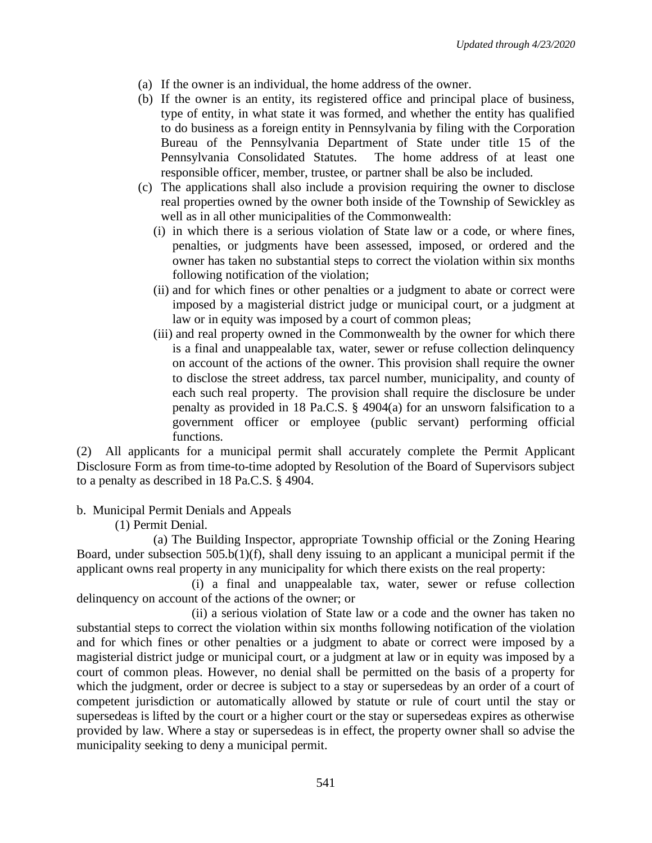- (a) If the owner is an individual, the home address of the owner.
- (b) If the owner is an entity, its registered office and principal place of business, type of entity, in what state it was formed, and whether the entity has qualified to do business as a foreign entity in Pennsylvania by filing with the Corporation Bureau of the Pennsylvania Department of State under title 15 of the Pennsylvania Consolidated Statutes. The home address of at least one responsible officer, member, trustee, or partner shall be also be included.
- (c) The applications shall also include a provision requiring the owner to disclose real properties owned by the owner both inside of the Township of Sewickley as well as in all other municipalities of the Commonwealth:
	- (i) in which there is a serious violation of State law or a code, or where fines, penalties, or judgments have been assessed, imposed, or ordered and the owner has taken no substantial steps to correct the violation within six months following notification of the violation;
	- (ii) and for which fines or other penalties or a judgment to abate or correct were imposed by a magisterial district judge or municipal court, or a judgment at law or in equity was imposed by a court of common pleas;
	- (iii) and real property owned in the Commonwealth by the owner for which there is a final and unappealable tax, water, sewer or refuse collection delinquency on account of the actions of the owner. This provision shall require the owner to disclose the street address, tax parcel number, municipality, and county of each such real property. The provision shall require the disclosure be under penalty as provided in 18 Pa.C.S. § 4904(a) for an unsworn falsification to a government officer or employee (public servant) performing official functions.

(2) All applicants for a municipal permit shall accurately complete the Permit Applicant Disclosure Form as from time-to-time adopted by Resolution of the Board of Supervisors subject to a penalty as described in 18 Pa.C.S. § 4904.

b. Municipal Permit Denials and Appeals

(1) Permit Denial.

(a) The Building Inspector, appropriate Township official or the Zoning Hearing Board, under subsection 505.b(1)(f), shall deny issuing to an applicant a municipal permit if the applicant owns real property in any municipality for which there exists on the real property:

(i) a final and unappealable tax, water, sewer or refuse collection delinquency on account of the actions of the owner; or

(ii) a serious violation of State law or a code and the owner has taken no substantial steps to correct the violation within six months following notification of the violation and for which fines or other penalties or a judgment to abate or correct were imposed by a magisterial district judge or municipal court, or a judgment at law or in equity was imposed by a court of common pleas. However, no denial shall be permitted on the basis of a property for which the judgment, order or decree is subject to a stay or supersedeas by an order of a court of competent jurisdiction or automatically allowed by statute or rule of court until the stay or supersedeas is lifted by the court or a higher court or the stay or supersedeas expires as otherwise provided by law. Where a stay or supersedeas is in effect, the property owner shall so advise the municipality seeking to deny a municipal permit.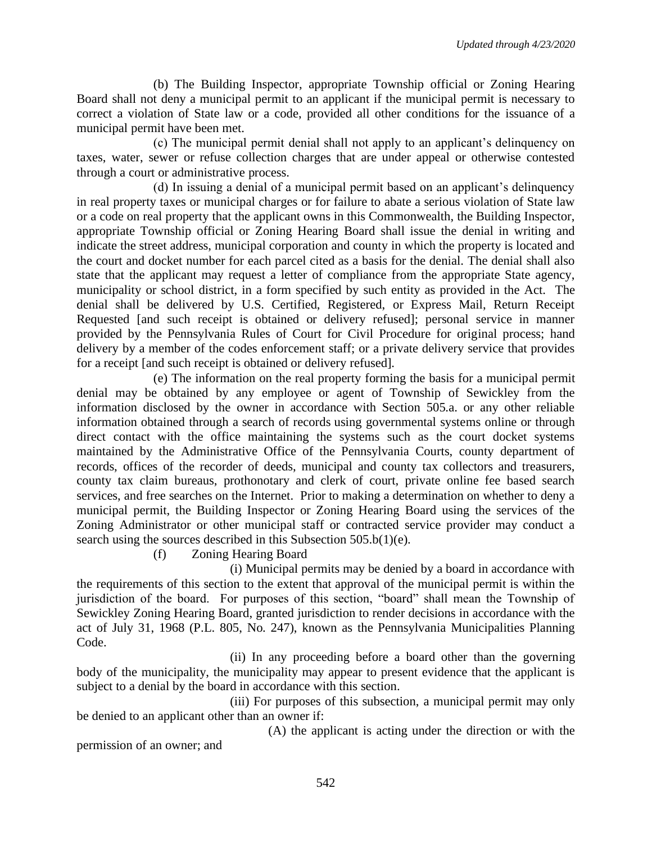(b) The Building Inspector, appropriate Township official or Zoning Hearing Board shall not deny a municipal permit to an applicant if the municipal permit is necessary to correct a violation of State law or a code, provided all other conditions for the issuance of a municipal permit have been met.

(c) The municipal permit denial shall not apply to an applicant's delinquency on taxes, water, sewer or refuse collection charges that are under appeal or otherwise contested through a court or administrative process.

(d) In issuing a denial of a municipal permit based on an applicant's delinquency in real property taxes or municipal charges or for failure to abate a serious violation of State law or a code on real property that the applicant owns in this Commonwealth, the Building Inspector, appropriate Township official or Zoning Hearing Board shall issue the denial in writing and indicate the street address, municipal corporation and county in which the property is located and the court and docket number for each parcel cited as a basis for the denial. The denial shall also state that the applicant may request a letter of compliance from the appropriate State agency, municipality or school district, in a form specified by such entity as provided in the Act. The denial shall be delivered by U.S. Certified, Registered, or Express Mail, Return Receipt Requested [and such receipt is obtained or delivery refused]; personal service in manner provided by the Pennsylvania Rules of Court for Civil Procedure for original process; hand delivery by a member of the codes enforcement staff; or a private delivery service that provides for a receipt [and such receipt is obtained or delivery refused].

(e) The information on the real property forming the basis for a municipal permit denial may be obtained by any employee or agent of Township of Sewickley from the information disclosed by the owner in accordance with Section 505.a. or any other reliable information obtained through a search of records using governmental systems online or through direct contact with the office maintaining the systems such as the court docket systems maintained by the Administrative Office of the Pennsylvania Courts, county department of records, offices of the recorder of deeds, municipal and county tax collectors and treasurers, county tax claim bureaus, prothonotary and clerk of court, private online fee based search services, and free searches on the Internet. Prior to making a determination on whether to deny a municipal permit, the Building Inspector or Zoning Hearing Board using the services of the Zoning Administrator or other municipal staff or contracted service provider may conduct a search using the sources described in this Subsection 505.b(1)(e).

(f) Zoning Hearing Board

(i) Municipal permits may be denied by a board in accordance with the requirements of this section to the extent that approval of the municipal permit is within the jurisdiction of the board. For purposes of this section, "board" shall mean the Township of Sewickley Zoning Hearing Board, granted jurisdiction to render decisions in accordance with the act of July 31, 1968 (P.L. 805, No. 247), known as the Pennsylvania Municipalities Planning Code.

(ii) In any proceeding before a board other than the governing body of the municipality, the municipality may appear to present evidence that the applicant is subject to a denial by the board in accordance with this section.

(iii) For purposes of this subsection, a municipal permit may only be denied to an applicant other than an owner if:

(A) the applicant is acting under the direction or with the permission of an owner; and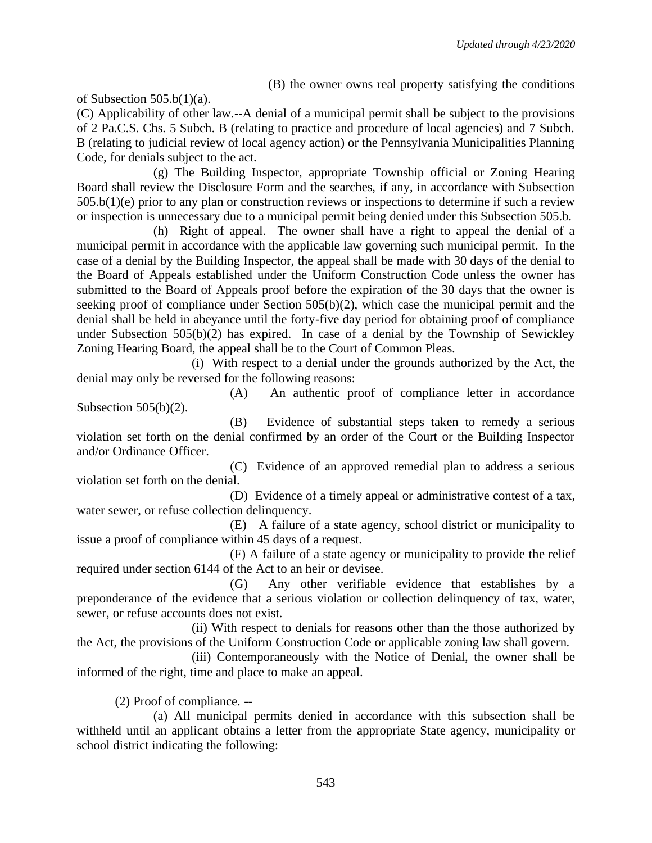(B) the owner owns real property satisfying the conditions

of Subsection  $505.b(1)(a)$ .

(C) Applicability of other law.--A denial of a municipal permit shall be subject to the provisions of 2 Pa.C.S. Chs. 5 Subch. B (relating to practice and procedure of local agencies) and 7 Subch. B (relating to judicial review of local agency action) or the Pennsylvania Municipalities Planning Code, for denials subject to the act.

(g) The Building Inspector, appropriate Township official or Zoning Hearing Board shall review the Disclosure Form and the searches, if any, in accordance with Subsection 505.b(1)(e) prior to any plan or construction reviews or inspections to determine if such a review or inspection is unnecessary due to a municipal permit being denied under this Subsection 505.b.

(h) Right of appeal. The owner shall have a right to appeal the denial of a municipal permit in accordance with the applicable law governing such municipal permit. In the case of a denial by the Building Inspector, the appeal shall be made with 30 days of the denial to the Board of Appeals established under the Uniform Construction Code unless the owner has submitted to the Board of Appeals proof before the expiration of the 30 days that the owner is seeking proof of compliance under Section 505(b)(2), which case the municipal permit and the denial shall be held in abeyance until the forty-five day period for obtaining proof of compliance under Subsection 505(b)(2) has expired. In case of a denial by the Township of Sewickley Zoning Hearing Board, the appeal shall be to the Court of Common Pleas.

(i) With respect to a denial under the grounds authorized by the Act, the denial may only be reversed for the following reasons:

(A) An authentic proof of compliance letter in accordance Subsection 505(b)(2).

(B) Evidence of substantial steps taken to remedy a serious violation set forth on the denial confirmed by an order of the Court or the Building Inspector and/or Ordinance Officer.

(C) Evidence of an approved remedial plan to address a serious violation set forth on the denial.

(D) Evidence of a timely appeal or administrative contest of a tax, water sewer, or refuse collection delinquency.

(E) A failure of a state agency, school district or municipality to issue a proof of compliance within 45 days of a request.

(F) A failure of a state agency or municipality to provide the relief required under section 6144 of the Act to an heir or devisee.

(G) Any other verifiable evidence that establishes by a preponderance of the evidence that a serious violation or collection delinquency of tax, water, sewer, or refuse accounts does not exist.

(ii) With respect to denials for reasons other than the those authorized by the Act, the provisions of the Uniform Construction Code or applicable zoning law shall govern.

(iii) Contemporaneously with the Notice of Denial, the owner shall be informed of the right, time and place to make an appeal.

(2) Proof of compliance. --

(a) All municipal permits denied in accordance with this subsection shall be withheld until an applicant obtains a letter from the appropriate State agency, municipality or school district indicating the following: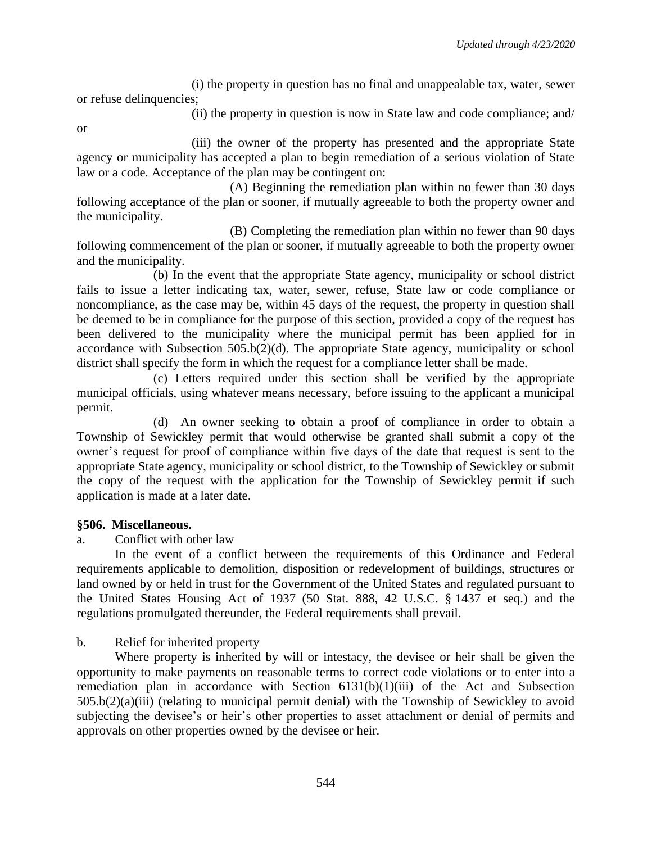(i) the property in question has no final and unappealable tax, water, sewer or refuse delinquencies;

(ii) the property in question is now in State law and code compliance; and/

or

(iii) the owner of the property has presented and the appropriate State agency or municipality has accepted a plan to begin remediation of a serious violation of State law or a code. Acceptance of the plan may be contingent on:

(A) Beginning the remediation plan within no fewer than 30 days following acceptance of the plan or sooner, if mutually agreeable to both the property owner and the municipality.

(B) Completing the remediation plan within no fewer than 90 days following commencement of the plan or sooner, if mutually agreeable to both the property owner and the municipality.

(b) In the event that the appropriate State agency, municipality or school district fails to issue a letter indicating tax, water, sewer, refuse, State law or code compliance or noncompliance, as the case may be, within 45 days of the request, the property in question shall be deemed to be in compliance for the purpose of this section, provided a copy of the request has been delivered to the municipality where the municipal permit has been applied for in accordance with Subsection 505.b(2)(d). The appropriate State agency, municipality or school district shall specify the form in which the request for a compliance letter shall be made.

(c) Letters required under this section shall be verified by the appropriate municipal officials, using whatever means necessary, before issuing to the applicant a municipal permit.

(d) An owner seeking to obtain a proof of compliance in order to obtain a Township of Sewickley permit that would otherwise be granted shall submit a copy of the owner's request for proof of compliance within five days of the date that request is sent to the appropriate State agency, municipality or school district, to the Township of Sewickley or submit the copy of the request with the application for the Township of Sewickley permit if such application is made at a later date.

# **§506. Miscellaneous.**

a. Conflict with other law

In the event of a conflict between the requirements of this Ordinance and Federal requirements applicable to demolition, disposition or redevelopment of buildings, structures or land owned by or held in trust for the Government of the United States and regulated pursuant to the United States Housing Act of 1937 (50 Stat. 888, 42 U.S.C. § 1437 et seq.) and the regulations promulgated thereunder, the Federal requirements shall prevail.

b. Relief for inherited property

Where property is inherited by will or intestacy, the devisee or heir shall be given the opportunity to make payments on reasonable terms to correct code violations or to enter into a remediation plan in accordance with Section 6131(b)(1)(iii) of the Act and Subsection 505.b(2)(a)(iii) (relating to municipal permit denial) with the Township of Sewickley to avoid subjecting the devisee's or heir's other properties to asset attachment or denial of permits and approvals on other properties owned by the devisee or heir.